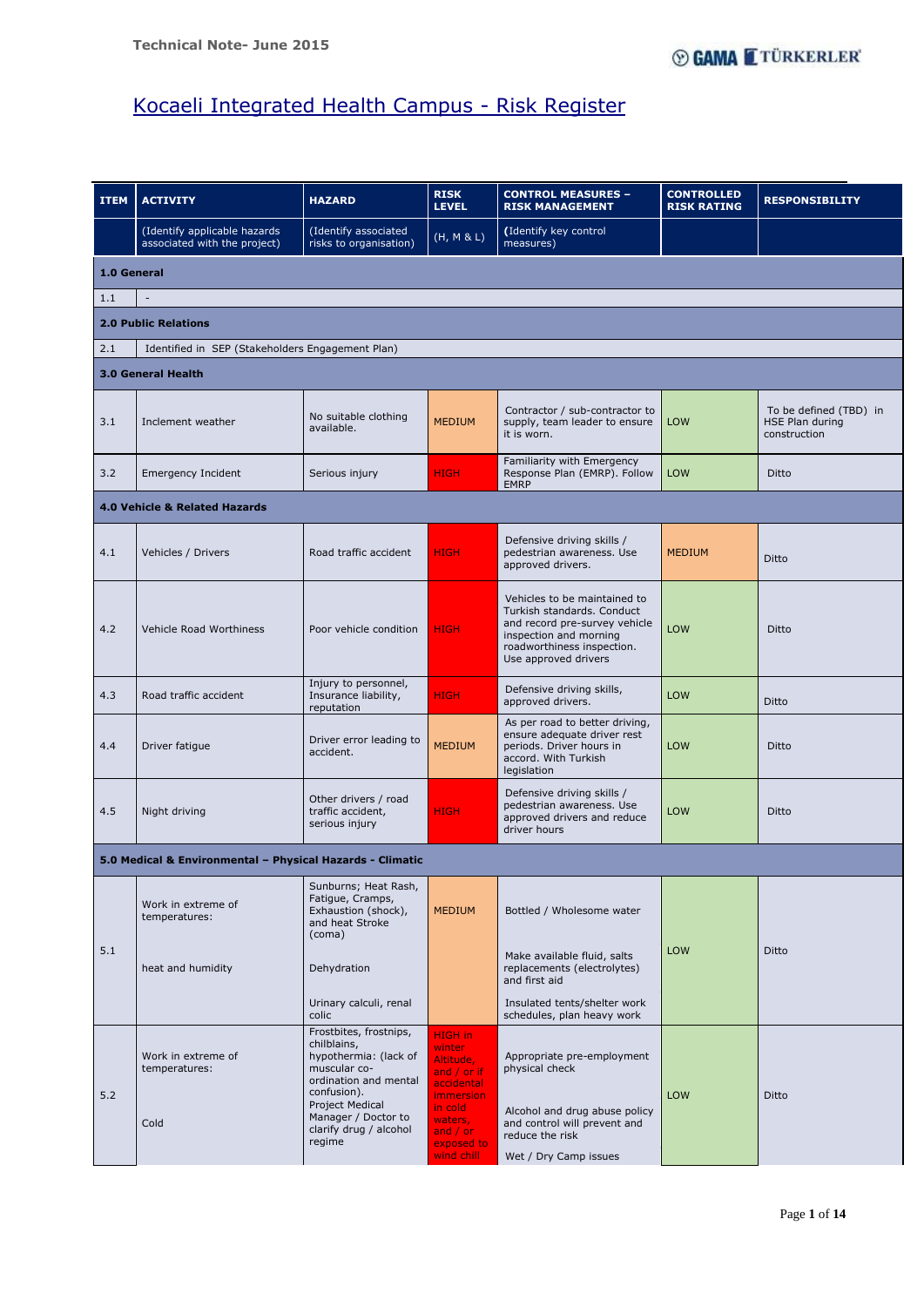Page **1** of **14**

| <b>ITEM</b>                                             | <b>ACTIVITY</b>                                              | <b>HAZARD</b>                                                                                | <b>RISK</b><br><b>LEVEL</b> | <b>CONTROL MEASURES -</b><br><b>RISK MANAGEMENT</b>                                                                                                                         | <b>CONTROLLED</b><br><b>RISK RATING</b> | <b>RESPONSIBILITY</b>                                     |  |  |  |  |
|---------------------------------------------------------|--------------------------------------------------------------|----------------------------------------------------------------------------------------------|-----------------------------|-----------------------------------------------------------------------------------------------------------------------------------------------------------------------------|-----------------------------------------|-----------------------------------------------------------|--|--|--|--|
|                                                         | (Identify applicable hazards<br>associated with the project) | (Identify associated<br>risks to organisation)                                               | (H, M & L)                  | (Identify key control<br>measures)                                                                                                                                          |                                         |                                                           |  |  |  |  |
| 1.0 General                                             |                                                              |                                                                                              |                             |                                                                                                                                                                             |                                         |                                                           |  |  |  |  |
| 1.1<br>$\overline{\phantom{a}}$                         |                                                              |                                                                                              |                             |                                                                                                                                                                             |                                         |                                                           |  |  |  |  |
| <b>2.0 Public Relations</b>                             |                                                              |                                                                                              |                             |                                                                                                                                                                             |                                         |                                                           |  |  |  |  |
| Identified in SEP (Stakeholders Engagement Plan)<br>2.1 |                                                              |                                                                                              |                             |                                                                                                                                                                             |                                         |                                                           |  |  |  |  |
|                                                         | <b>3.0 General Health</b>                                    |                                                                                              |                             |                                                                                                                                                                             |                                         |                                                           |  |  |  |  |
| 3.1                                                     | Inclement weather                                            | No suitable clothing<br>available.                                                           | <b>MEDIUM</b>               | Contractor / sub-contractor to<br>supply, team leader to ensure<br>it is worn.                                                                                              | <b>LOW</b>                              | To be defined (TBD) in<br>HSE Plan during<br>construction |  |  |  |  |
| 3.2                                                     | <b>Emergency Incident</b>                                    | Serious injury                                                                               | <b>HIGH</b>                 | Familiarity with Emergency<br>Response Plan (EMRP). Follow<br><b>EMRP</b>                                                                                                   | <b>LOW</b>                              | Ditto                                                     |  |  |  |  |
|                                                         | 4.0 Vehicle & Related Hazards                                |                                                                                              |                             |                                                                                                                                                                             |                                         |                                                           |  |  |  |  |
| 4.1                                                     | Vehicles / Drivers                                           | Road traffic accident                                                                        | <b>HIGH</b>                 | Defensive driving skills /<br>pedestrian awareness. Use<br>approved drivers.                                                                                                | <b>MEDIUM</b>                           | Ditto                                                     |  |  |  |  |
| 4.2                                                     | Vehicle Road Worthiness                                      | Poor vehicle condition                                                                       | <b>HIGH</b>                 | Vehicles to be maintained to<br>Turkish standards, Conduct<br>and record pre-survey vehicle<br>inspection and morning<br>roadworthiness inspection.<br>Use approved drivers | LOW                                     | Ditto                                                     |  |  |  |  |
| 4.3                                                     | Road traffic accident                                        | Injury to personnel,<br>Insurance liability,<br>reputation                                   | <b>HIGH</b>                 | Defensive driving skills,<br>approved drivers.                                                                                                                              | <b>LOW</b>                              | Ditto                                                     |  |  |  |  |
| 4.4                                                     | Driver fatigue                                               | Driver error leading to<br>accident.                                                         | <b>MEDIUM</b>               | As per road to better driving,<br>ensure adequate driver rest<br>periods. Driver hours in<br>accord. With Turkish<br>legislation                                            | LOW                                     | Ditto                                                     |  |  |  |  |
| 4.5                                                     | Night driving                                                | Other drivers / road<br>traffic accident,<br>serious injury                                  | <b>HIGH</b>                 | Defensive driving skills /<br>pedestrian awareness. Use<br>approved drivers and reduce<br>driver hours                                                                      | <b>LOW</b>                              | Ditto                                                     |  |  |  |  |
|                                                         | 5.0 Medical & Environmental - Physical Hazards - Climatic    |                                                                                              |                             |                                                                                                                                                                             |                                         |                                                           |  |  |  |  |
|                                                         | Work in extreme of<br>temperatures:                          | Sunburns; Heat Rash,<br>Fatigue, Cramps,<br>Exhaustion (shock),<br>and heat Stroke<br>(coma) | <b>MEDIUM</b>               | Bottled / Wholesome water                                                                                                                                                   |                                         |                                                           |  |  |  |  |
| 5.1                                                     | heat and humidity                                            | Dehydration                                                                                  |                             | Make available fluid, salts<br>replacements (electrolytes)<br>and first aid                                                                                                 | LOW                                     | Ditto                                                     |  |  |  |  |

|     |                                             | Urinary calculi, renal<br>colic                                                                                                                                                                      |                                                                                                                                          | Insulated tents/shelter work<br>schedules, plan heavy work                                                                                                |            |       |
|-----|---------------------------------------------|------------------------------------------------------------------------------------------------------------------------------------------------------------------------------------------------------|------------------------------------------------------------------------------------------------------------------------------------------|-----------------------------------------------------------------------------------------------------------------------------------------------------------|------------|-------|
| 5.2 | Work in extreme of<br>temperatures:<br>Cold | Frostbites, frostnips,<br>chilblains,<br>hypothermia: (lack of<br>muscular co-<br>ordination and mental<br>confusion).<br>Project Medical<br>Manager / Doctor to<br>clarify drug / alcohol<br>regime | HIGH in<br>winter<br>Altitude,<br>and / or if<br>accidental<br>immersion<br>in cold<br>waters,<br>and $/$ or<br>exposed to<br>wind chill | Appropriate pre-employment<br>physical check<br>Alcohol and drug abuse policy<br>and control will prevent and<br>reduce the risk<br>Wet / Dry Camp issues | <b>LOW</b> | Ditto |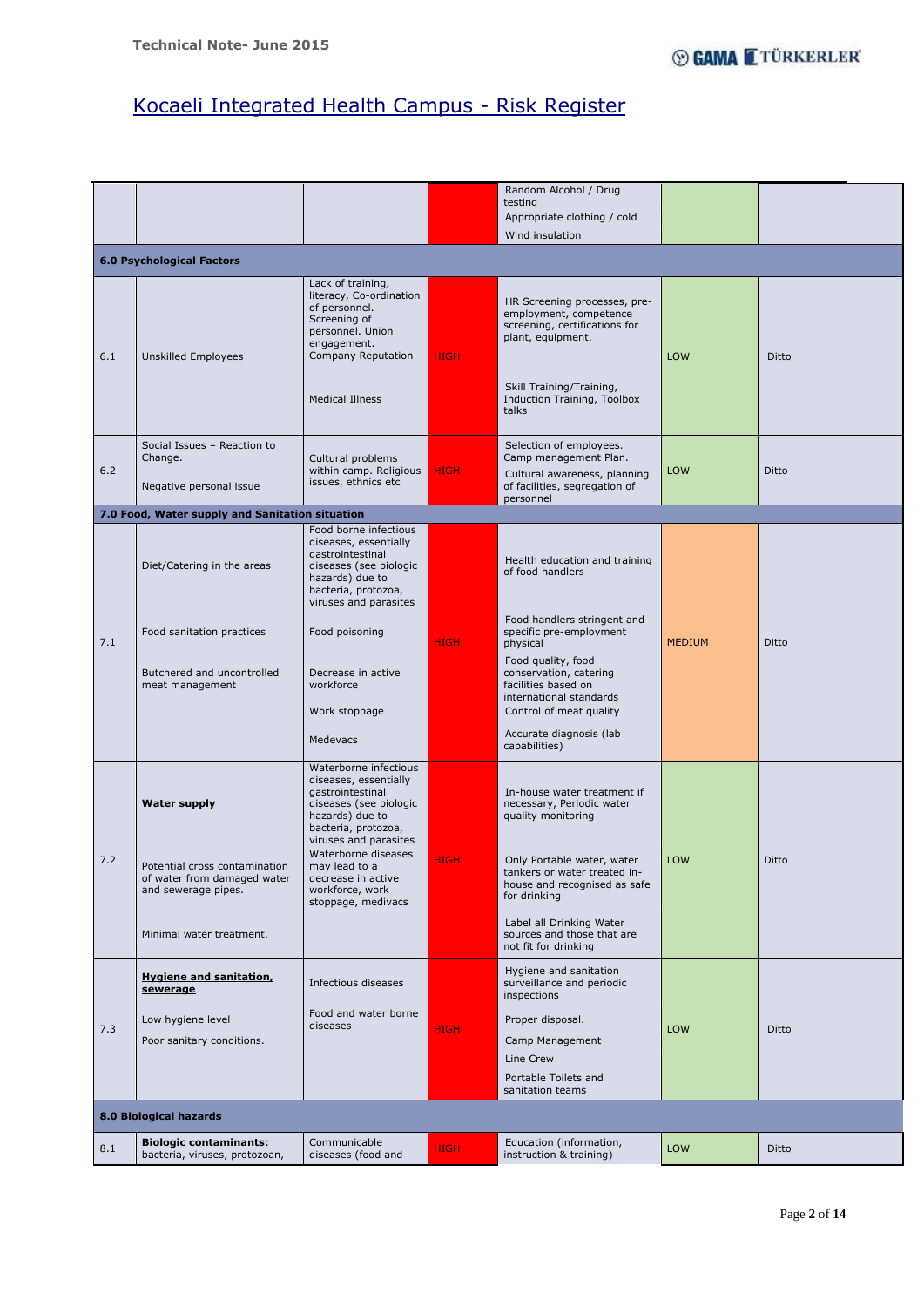Page **2** of **14**

|     |                                                                   |                                                                                                                                                                                                         |             | Random Alcohol / Drug<br>testing                                                                                                                                                 |               |              |  |  |  |  |
|-----|-------------------------------------------------------------------|---------------------------------------------------------------------------------------------------------------------------------------------------------------------------------------------------------|-------------|----------------------------------------------------------------------------------------------------------------------------------------------------------------------------------|---------------|--------------|--|--|--|--|
|     |                                                                   |                                                                                                                                                                                                         |             | Appropriate clothing / cold                                                                                                                                                      |               |              |  |  |  |  |
|     |                                                                   |                                                                                                                                                                                                         |             | Wind insulation                                                                                                                                                                  |               |              |  |  |  |  |
|     | <b>6.0 Psychological Factors</b>                                  |                                                                                                                                                                                                         |             |                                                                                                                                                                                  |               |              |  |  |  |  |
| 6.1 | <b>Unskilled Employees</b>                                        | Lack of training,<br>literacy, Co-ordination<br>of personnel.<br>Screening of<br>personnel. Union<br>engagement.<br>Company Reputation<br><b>Medical Illness</b>                                        | <b>HIGH</b> | HR Screening processes, pre-<br>employment, competence<br>screening, certifications for<br>plant, equipment.<br>Skill Training/Training,<br>Induction Training, Toolbox<br>talks | <b>LOW</b>    | Ditto        |  |  |  |  |
| 6.2 | Social Issues - Reaction to<br>Change.<br>Negative personal issue | Cultural problems<br>within camp. Religious<br>issues, ethnics etc                                                                                                                                      | <b>HIGH</b> | Selection of employees.<br>Camp management Plan.<br>Cultural awareness, planning<br>of facilities, segregation of<br>personnel                                                   | LOW           | Ditto        |  |  |  |  |
|     | 7.0 Food, Water supply and Sanitation situation                   |                                                                                                                                                                                                         |             |                                                                                                                                                                                  |               |              |  |  |  |  |
|     | Diet/Catering in the areas                                        | Food borne infectious<br>diseases, essentially<br>gastrointestinal<br>diseases (see biologic<br>hazards) due to<br>bacteria, protozoa,<br>viruses and parasites                                         |             | Health education and training<br>of food handlers                                                                                                                                |               |              |  |  |  |  |
| 7.1 | Food sanitation practices                                         | Food poisoning                                                                                                                                                                                          | <b>HIGH</b> | Food handlers stringent and<br>specific pre-employment<br>physical                                                                                                               | <b>MEDIUM</b> | Ditto        |  |  |  |  |
|     | Butchered and uncontrolled<br>meat management                     | Decrease in active<br>workforce<br>Work stoppage                                                                                                                                                        |             | Food quality, food<br>conservation, catering<br>facilities based on<br>international standards<br>Control of meat quality                                                        |               |              |  |  |  |  |
|     |                                                                   | Medevacs                                                                                                                                                                                                |             | Accurate diagnosis (lab<br>capabilities)                                                                                                                                         |               |              |  |  |  |  |
| 7.2 | <b>Water supply</b><br>Potential cross contamination              | Waterborne infectious<br>diseases, essentially<br>gastrointestinal<br>diseases (see biologic<br>hazards) due to<br>bacteria, protozoa,<br>viruses and parasites<br>Waterborne diseases<br>may lead to a | <b>HIGH</b> | In-house water treatment if<br>necessary, Periodic water<br>quality monitoring<br>Only Portable water, water<br>tankers or water treated in-                                     | <b>LOW</b>    | <b>Ditto</b> |  |  |  |  |
|     | of water from damaged water<br>and sewerage pipes.                | decrease in active<br>workforce, work<br>stoppage, medivacs                                                                                                                                             |             | house and recognised as safe<br>for drinking<br>Label all Drinking Water                                                                                                         |               |              |  |  |  |  |
|     | Minimal water treatment.                                          |                                                                                                                                                                                                         |             | sources and those that are<br>not fit for drinking                                                                                                                               |               |              |  |  |  |  |
|     | <b>Hygiene and sanitation,</b><br>sewerage                        | Infectious diseases                                                                                                                                                                                     |             | Hygiene and sanitation<br>surveillance and periodic<br>inspections                                                                                                               |               |              |  |  |  |  |
| 7.3 | Low hygiene level                                                 | Food and water borne<br>diseases                                                                                                                                                                        | <b>HIGH</b> | Proper disposal.                                                                                                                                                                 | LOW           | Ditto        |  |  |  |  |
|     | Poor sanitary conditions.                                         |                                                                                                                                                                                                         |             | Camp Management                                                                                                                                                                  |               |              |  |  |  |  |
|     |                                                                   |                                                                                                                                                                                                         |             | Line Crew                                                                                                                                                                        |               |              |  |  |  |  |
|     |                                                                   |                                                                                                                                                                                                         |             | Portable Toilets and<br>sanitation teams                                                                                                                                         |               |              |  |  |  |  |
|     | 8.0 Biological hazards                                            |                                                                                                                                                                                                         |             |                                                                                                                                                                                  |               |              |  |  |  |  |
| 8.1 | <b>Biologic contaminants:</b><br>bacteria, viruses, protozoan,    | Communicable<br>diseases (food and                                                                                                                                                                      | <b>HIGH</b> | Education (information,<br>instruction & training)                                                                                                                               | LOW           | Ditto        |  |  |  |  |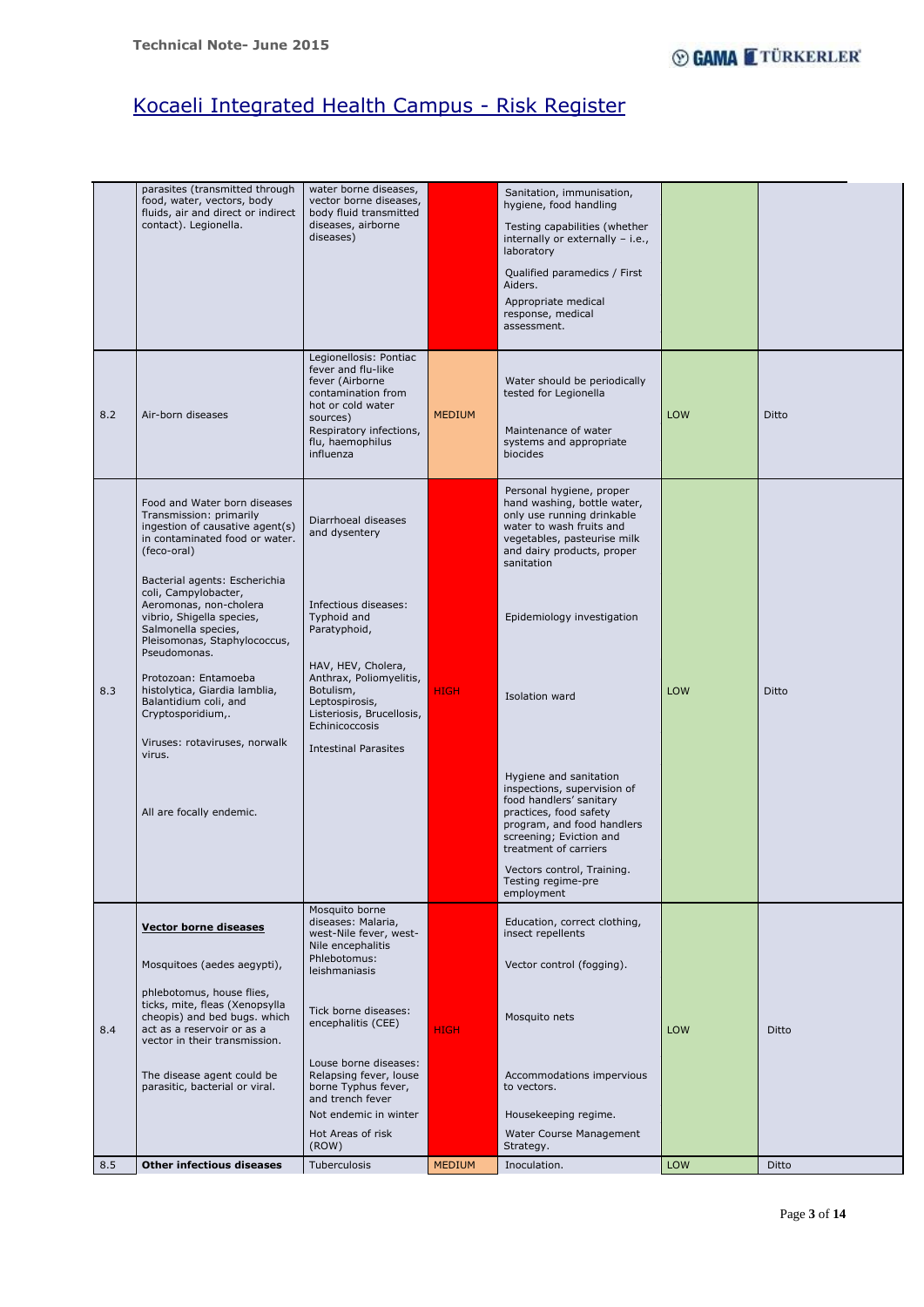Page **3** of **14**

|     | parasites (transmitted through<br>food, water, vectors, body<br>fluids, air and direct or indirect<br>contact). Legionella.                                                         | water borne diseases,<br>vector borne diseases,<br>body fluid transmitted<br>diseases, airborne<br>diseases)                                                                       |               | Sanitation, immunisation,<br>hygiene, food handling<br>Testing capabilities (whether<br>internally or externally - i.e.,<br>laboratory<br>Qualified paramedics / First<br>Aiders.<br>Appropriate medical<br>response, medical<br>assessment.                   |            |       |
|-----|-------------------------------------------------------------------------------------------------------------------------------------------------------------------------------------|------------------------------------------------------------------------------------------------------------------------------------------------------------------------------------|---------------|----------------------------------------------------------------------------------------------------------------------------------------------------------------------------------------------------------------------------------------------------------------|------------|-------|
| 8.2 | Air-born diseases                                                                                                                                                                   | Legionellosis: Pontiac<br>fever and flu-like<br>fever (Airborne<br>contamination from<br>hot or cold water<br>sources)<br>Respiratory infections,<br>flu, haemophilus<br>influenza | <b>MEDIUM</b> | Water should be periodically<br>tested for Legionella<br>Maintenance of water<br>systems and appropriate<br>biocides                                                                                                                                           | LOW        | Ditto |
|     | Food and Water born diseases<br>Transmission: primarily<br>ingestion of causative agent(s)<br>in contaminated food or water.<br>(feco-oral)                                         | Diarrhoeal diseases<br>and dysentery                                                                                                                                               |               | Personal hygiene, proper<br>hand washing, bottle water,<br>only use running drinkable<br>water to wash fruits and<br>vegetables, pasteurise milk<br>and dairy products, proper<br>sanitation                                                                   |            |       |
|     | Bacterial agents: Escherichia<br>coli, Campylobacter,<br>Aeromonas, non-cholera<br>vibrio, Shigella species,<br>Salmonella species,<br>Pleisomonas, Staphylococcus,<br>Pseudomonas. | Infectious diseases:<br>Typhoid and<br>Paratyphoid,                                                                                                                                |               | Epidemiology investigation                                                                                                                                                                                                                                     |            |       |
| 8.3 | Protozoan: Entamoeba<br>histolytica, Giardia lamblia,<br>Balantidium coli, and<br>Cryptosporidium,.                                                                                 | HAV, HEV, Cholera,<br>Anthrax, Poliomyelitis,<br>Botulism,<br>Leptospirosis,<br>Listeriosis, Brucellosis,<br>Echinicoccosis                                                        | <b>HIGH</b>   | Isolation ward                                                                                                                                                                                                                                                 | LOW        | Ditto |
|     | Viruses: rotaviruses, norwalk<br>virus.<br>All are focally endemic.                                                                                                                 | <b>Intestinal Parasites</b>                                                                                                                                                        |               | Hygiene and sanitation<br>inspections, supervision of<br>food handlers' sanitary<br>practices, food safety<br>program, and food handlers<br>screening; Eviction and<br>treatment of carriers<br>Vectors control, Training.<br>Testing regime-pre<br>employment |            |       |
|     | <b>Vector borne diseases</b>                                                                                                                                                        | Mosquito borne<br>diseases: Malaria,                                                                                                                                               |               | Education, correct clothing,                                                                                                                                                                                                                                   |            |       |
|     | Mosquitoes (aedes aegypti),                                                                                                                                                         | west-Nile fever, west-<br>Nile encephalitis<br>Phlebotomus:<br>leishmaniasis                                                                                                       |               | insect repellents<br>Vector control (fogging).                                                                                                                                                                                                                 |            |       |
| 8.4 | phlebotomus, house flies,<br>ticks, mite, fleas (Xenopsylla<br>cheopis) and bed bugs. which<br>act as a reservoir or as a<br>vector in their transmission.                          | Tick borne diseases:<br>encephalitis (CEE)                                                                                                                                         | <b>HIGH</b>   | Mosquito nets                                                                                                                                                                                                                                                  | <b>LOW</b> | Ditto |
|     | The disease agent could be<br>parasitic, bacterial or viral.                                                                                                                        | Louse borne diseases:<br>Relapsing fever, louse<br>borne Typhus fever,<br>and trench fever<br>Not endemic in winter                                                                |               | Accommodations impervious<br>to vectors.<br>Housekeeping regime.                                                                                                                                                                                               |            |       |
|     |                                                                                                                                                                                     | Hot Areas of risk                                                                                                                                                                  |               | Water Course Management                                                                                                                                                                                                                                        |            |       |
| 8.5 | <b>Other infectious diseases</b>                                                                                                                                                    | (ROW)<br>Tuberculosis                                                                                                                                                              | <b>MEDIUM</b> | Strategy.<br>Inoculation.                                                                                                                                                                                                                                      | LOW        | Ditto |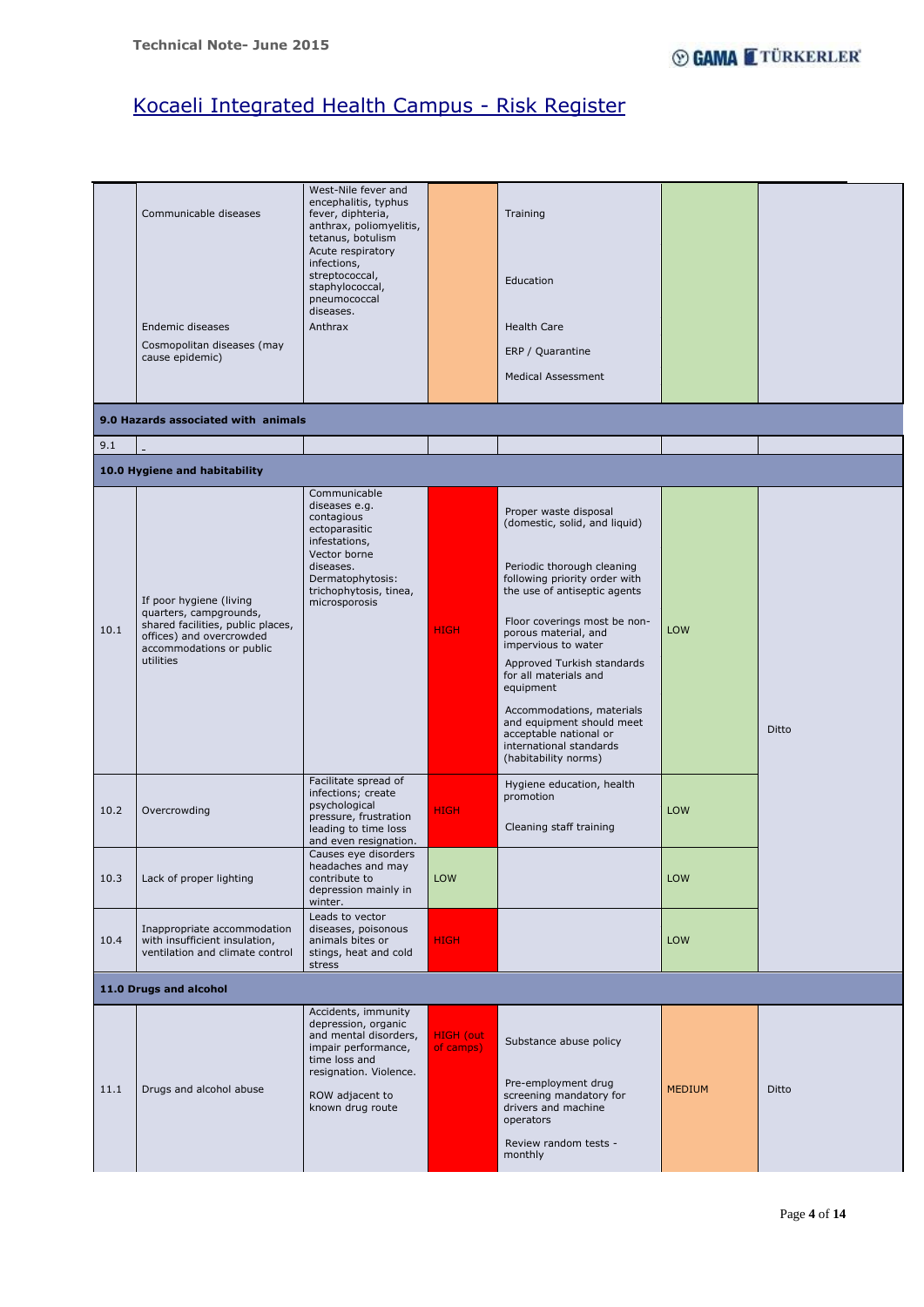Page **4** of **14**

|      | Communicable diseases                                                                                                                                       | West-Nile fever and<br>encephalitis, typhus<br>fever, diphteria,<br>anthrax, poliomyelitis,<br>tetanus, botulism<br>Acute respiratory<br>infections,<br>streptococcal,<br>staphylococcal,<br>pneumococcal<br>diseases. |                               | Training<br>Education                                                                                                                                                                                                                                                                                                                                                                                                                                                        |               |       |
|------|-------------------------------------------------------------------------------------------------------------------------------------------------------------|------------------------------------------------------------------------------------------------------------------------------------------------------------------------------------------------------------------------|-------------------------------|------------------------------------------------------------------------------------------------------------------------------------------------------------------------------------------------------------------------------------------------------------------------------------------------------------------------------------------------------------------------------------------------------------------------------------------------------------------------------|---------------|-------|
|      | Endemic diseases                                                                                                                                            | Anthrax                                                                                                                                                                                                                |                               | <b>Health Care</b>                                                                                                                                                                                                                                                                                                                                                                                                                                                           |               |       |
|      | Cosmopolitan diseases (may<br>cause epidemic)                                                                                                               |                                                                                                                                                                                                                        |                               | ERP / Quarantine                                                                                                                                                                                                                                                                                                                                                                                                                                                             |               |       |
|      |                                                                                                                                                             |                                                                                                                                                                                                                        |                               | <b>Medical Assessment</b>                                                                                                                                                                                                                                                                                                                                                                                                                                                    |               |       |
|      | 9.0 Hazards associated with animals                                                                                                                         |                                                                                                                                                                                                                        |                               |                                                                                                                                                                                                                                                                                                                                                                                                                                                                              |               |       |
| 9.1  |                                                                                                                                                             |                                                                                                                                                                                                                        |                               |                                                                                                                                                                                                                                                                                                                                                                                                                                                                              |               |       |
|      | 10.0 Hygiene and habitability                                                                                                                               |                                                                                                                                                                                                                        |                               |                                                                                                                                                                                                                                                                                                                                                                                                                                                                              |               |       |
| 10.1 | If poor hygiene (living<br>quarters, campgrounds,<br>shared facilities, public places,<br>offices) and overcrowded<br>accommodations or public<br>utilities | Communicable<br>diseases e.g.<br>contagious<br>ectoparasitic<br>infestations,<br>Vector borne<br>diseases.<br>Dermatophytosis:<br>trichophytosis, tinea,<br>microsporosis<br>Facilitate spread of                      | <b>HIGH</b>                   | Proper waste disposal<br>(domestic, solid, and liquid)<br>Periodic thorough cleaning<br>following priority order with<br>the use of antiseptic agents<br>Floor coverings most be non-<br>porous material, and<br>impervious to water<br>Approved Turkish standards<br>for all materials and<br>equipment<br>Accommodations, materials<br>and equipment should meet<br>acceptable national or<br>international standards<br>(habitability norms)<br>Hygiene education, health | LOW           | Ditto |
| 10.2 | Overcrowding                                                                                                                                                | infections; create<br>psychological<br>pressure, frustration<br>leading to time loss<br>and even resignation.                                                                                                          | <b>HIGH</b>                   | promotion<br>Cleaning staff training                                                                                                                                                                                                                                                                                                                                                                                                                                         | LOW           |       |
| 10.3 | Lack of proper lighting                                                                                                                                     | Causes eye disorders<br>headaches and may<br>contribute to<br>depression mainly in<br>winter.                                                                                                                          | LOW                           |                                                                                                                                                                                                                                                                                                                                                                                                                                                                              | LOW           |       |
| 10.4 | Inappropriate accommodation<br>with insufficient insulation,<br>ventilation and climate control                                                             | Leads to vector<br>diseases, poisonous<br>animals bites or<br>stings, heat and cold<br>stress                                                                                                                          | <b>HIGH</b>                   |                                                                                                                                                                                                                                                                                                                                                                                                                                                                              | LOW           |       |
|      | 11.0 Drugs and alcohol                                                                                                                                      |                                                                                                                                                                                                                        |                               |                                                                                                                                                                                                                                                                                                                                                                                                                                                                              |               |       |
| 11.1 | Drugs and alcohol abuse                                                                                                                                     | Accidents, immunity<br>depression, organic<br>and mental disorders,<br>impair performance,<br>time loss and<br>resignation. Violence.<br>ROW adjacent to<br>known drug route                                           | <b>HIGH</b> (out<br>of camps) | Substance abuse policy<br>Pre-employment drug<br>screening mandatory for<br>drivers and machine<br>operators<br>Review random tests -<br>monthly                                                                                                                                                                                                                                                                                                                             | <b>MEDIUM</b> | Ditto |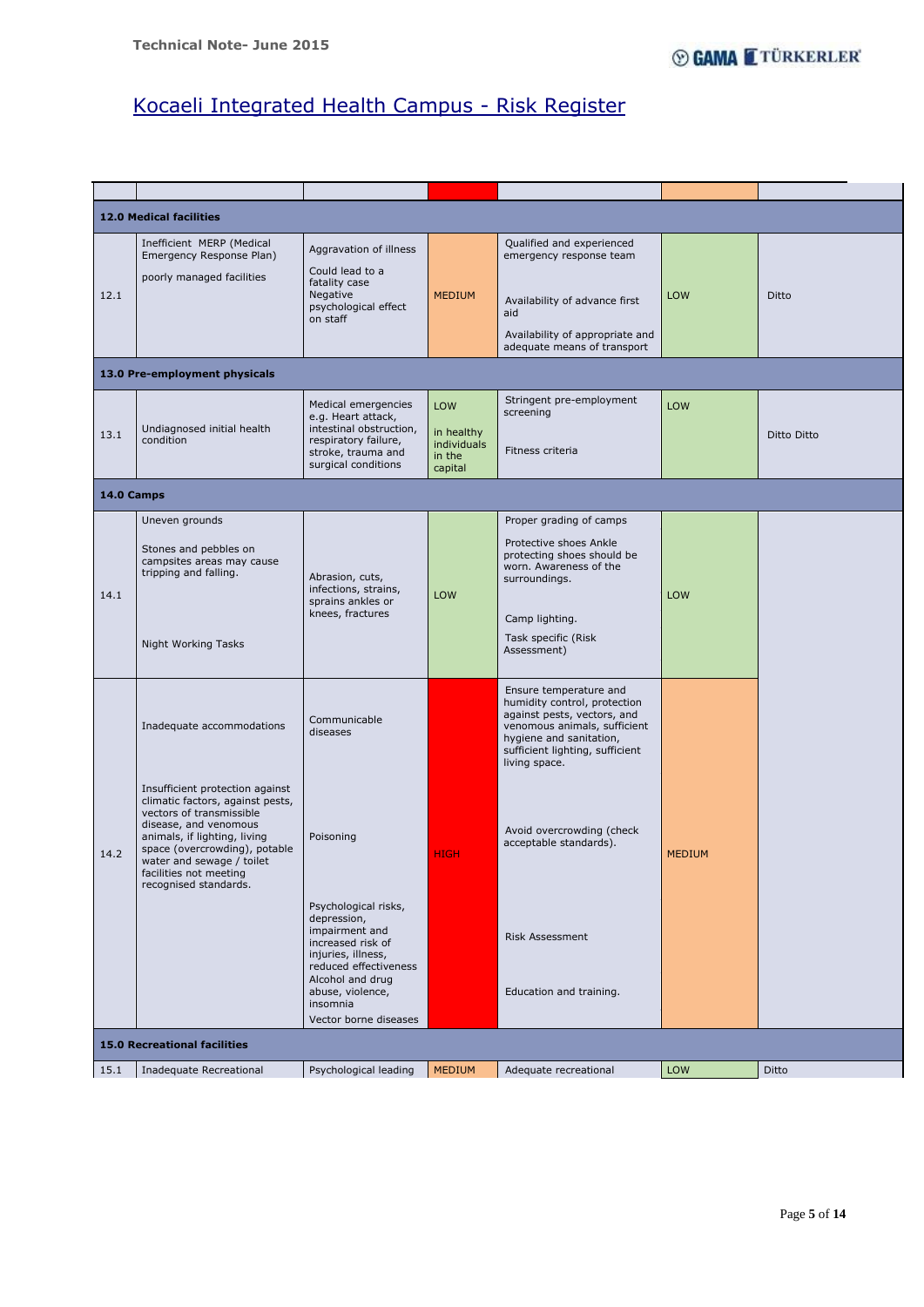Page **5** of **14**

|      | <b>12.0 Medical facilities</b>                                                                                                                                                                                                                                                                         |                                                                                                                                               |                                                       |                                                                                                                                                                                                                                                             |               |             |
|------|--------------------------------------------------------------------------------------------------------------------------------------------------------------------------------------------------------------------------------------------------------------------------------------------------------|-----------------------------------------------------------------------------------------------------------------------------------------------|-------------------------------------------------------|-------------------------------------------------------------------------------------------------------------------------------------------------------------------------------------------------------------------------------------------------------------|---------------|-------------|
| 12.1 | Inefficient MERP (Medical<br>Emergency Response Plan)<br>poorly managed facilities                                                                                                                                                                                                                     | Aggravation of illness<br>Could lead to a<br>fatality case<br>Negative<br>psychological effect<br>on staff                                    | <b>MEDIUM</b>                                         | Qualified and experienced<br>emergency response team<br>Availability of advance first<br>aid<br>Availability of appropriate and<br>adequate means of transport                                                                                              | LOW           | Ditto       |
|      | 13.0 Pre-employment physicals                                                                                                                                                                                                                                                                          |                                                                                                                                               |                                                       |                                                                                                                                                                                                                                                             |               |             |
| 13.1 | Undiagnosed initial health<br>condition                                                                                                                                                                                                                                                                | Medical emergencies<br>e.g. Heart attack,<br>intestinal obstruction,<br>respiratory failure,<br>stroke, trauma and<br>surgical conditions     | LOW<br>in healthy<br>individuals<br>in the<br>capital | Stringent pre-employment<br>screening<br>Fitness criteria                                                                                                                                                                                                   | LOW           | Ditto Ditto |
|      | 14.0 Camps                                                                                                                                                                                                                                                                                             |                                                                                                                                               |                                                       |                                                                                                                                                                                                                                                             |               |             |
| 14.1 | Uneven grounds<br>Stones and pebbles on<br>campsites areas may cause<br>tripping and falling.<br>Night Working Tasks                                                                                                                                                                                   | Abrasion, cuts,<br>infections, strains,<br>sprains ankles or<br>knees, fractures                                                              | LOW                                                   | Proper grading of camps<br>Protective shoes Ankle<br>protecting shoes should be<br>worn. Awareness of the<br>surroundings.<br>Camp lighting.<br>Task specific (Risk<br>Assessment)                                                                          | <b>LOW</b>    |             |
| 14.2 | Inadequate accommodations<br>Insufficient protection against<br>climatic factors, against pests,<br>vectors of transmissible<br>disease, and venomous<br>animals, if lighting, living<br>space (overcrowding), potable<br>water and sewage / toilet<br>facilities not meeting<br>recognised standards. | Communicable<br>diseases<br>Poisoning                                                                                                         | <b>HIGH</b>                                           | Ensure temperature and<br>humidity control, protection<br>against pests, vectors, and<br>venomous animals, sufficient<br>hygiene and sanitation,<br>sufficient lighting, sufficient<br>living space.<br>Avoid overcrowding (check<br>acceptable standards). | <b>MEDIUM</b> |             |
|      |                                                                                                                                                                                                                                                                                                        | Psychological risks,<br>depression,<br>impairment and<br>increased risk of<br>injuries, illness,<br>reduced effectiveness<br>Alcohol and drug |                                                       | <b>Risk Assessment</b>                                                                                                                                                                                                                                      |               |             |

|                              |                         | abuse, violence,<br>insomnia<br>Vector borne diseases |               | Education and training. |     |       |  |  |  |
|------------------------------|-------------------------|-------------------------------------------------------|---------------|-------------------------|-----|-------|--|--|--|
| 15.0 Recreational facilities |                         |                                                       |               |                         |     |       |  |  |  |
| 15.1                         | Inadequate Recreational | Psychological leading                                 | <b>MEDIUM</b> | Adequate recreational   | LOW | Ditto |  |  |  |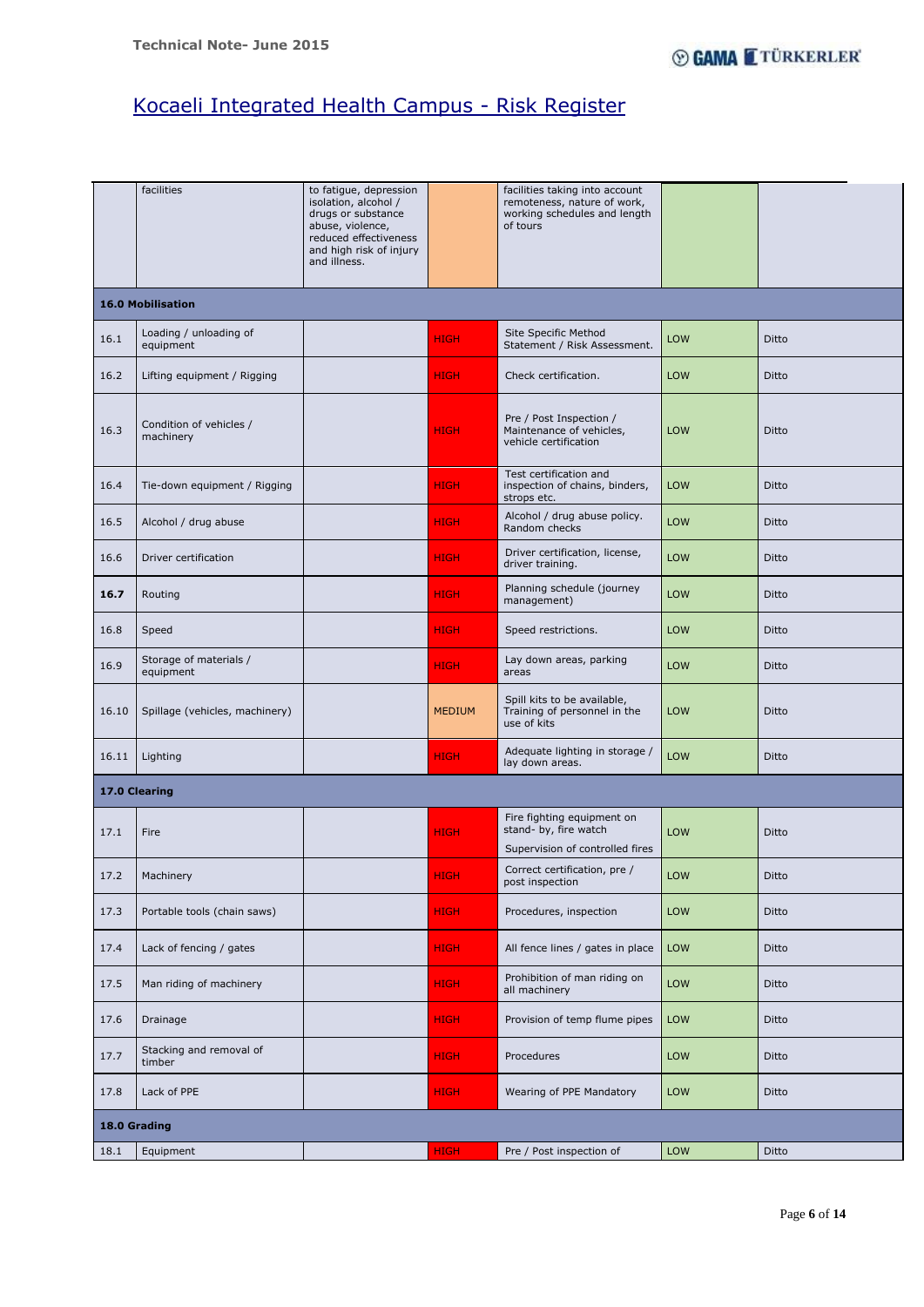Page **6** of **14**

|       | facilities                           | to fatigue, depression<br>isolation, alcohol /<br>drugs or substance<br>abuse, violence,<br>reduced effectiveness<br>and high risk of injury<br>and illness. |               | facilities taking into account<br>remoteness, nature of work,<br>working schedules and length<br>of tours |     |       |  |  |  |  |
|-------|--------------------------------------|--------------------------------------------------------------------------------------------------------------------------------------------------------------|---------------|-----------------------------------------------------------------------------------------------------------|-----|-------|--|--|--|--|
|       | <b>16.0 Mobilisation</b>             |                                                                                                                                                              |               |                                                                                                           |     |       |  |  |  |  |
| 16.1  | Loading / unloading of<br>equipment  |                                                                                                                                                              | <b>HIGH</b>   | Site Specific Method<br>Statement / Risk Assessment.                                                      | LOW | Ditto |  |  |  |  |
| 16.2  | Lifting equipment / Rigging          |                                                                                                                                                              | <b>HIGH</b>   | Check certification.                                                                                      | LOW | Ditto |  |  |  |  |
| 16.3  | Condition of vehicles /<br>machinery |                                                                                                                                                              | <b>HIGH</b>   | Pre / Post Inspection /<br>Maintenance of vehicles,<br>vehicle certification                              | LOW | Ditto |  |  |  |  |
| 16.4  | Tie-down equipment / Rigging         |                                                                                                                                                              | <b>HIGH</b>   | Test certification and<br>inspection of chains, binders,<br>strops etc.                                   | LOW | Ditto |  |  |  |  |
| 16.5  | Alcohol / drug abuse                 |                                                                                                                                                              | <b>HIGH</b>   | Alcohol / drug abuse policy.<br>Random checks                                                             | LOW | Ditto |  |  |  |  |
| 16.6  | Driver certification                 |                                                                                                                                                              | <b>HIGH</b>   | Driver certification, license,<br>driver training.                                                        | LOW | Ditto |  |  |  |  |
| 16.7  | Routing                              |                                                                                                                                                              | <b>HIGH</b>   | Planning schedule (journey<br>management)                                                                 | LOW | Ditto |  |  |  |  |
| 16.8  | Speed                                |                                                                                                                                                              | <b>HIGH</b>   | Speed restrictions.                                                                                       | LOW | Ditto |  |  |  |  |
| 16.9  | Storage of materials /<br>equipment  |                                                                                                                                                              | HIGH.         | Lay down areas, parking<br>areas                                                                          | LOW | Ditto |  |  |  |  |
| 16.10 | Spillage (vehicles, machinery)       |                                                                                                                                                              | <b>MEDIUM</b> | Spill kits to be available,<br>Training of personnel in the<br>use of kits                                | LOW | Ditto |  |  |  |  |
| 16.11 | Lighting                             |                                                                                                                                                              | <b>HIGH</b>   | Adequate lighting in storage /<br>lay down areas.                                                         | LOW | Ditto |  |  |  |  |
|       | 17.0 Clearing                        |                                                                                                                                                              |               |                                                                                                           |     |       |  |  |  |  |
| 17.1  | Fire                                 |                                                                                                                                                              | <b>HIGH</b>   | Fire fighting equipment on<br>stand- by, fire watch<br>Supervision of controlled fires                    | LOW | Ditto |  |  |  |  |
| 17.2  | Machinery                            |                                                                                                                                                              | <b>HIGH</b>   | Correct certification, pre /<br>post inspection                                                           | LOW | Ditto |  |  |  |  |
| 17.3  | Portable tools (chain saws)          |                                                                                                                                                              | <b>HIGH</b>   | Procedures, inspection                                                                                    | LOW | Ditto |  |  |  |  |
| 17.4  | Lack of fencing / gates              |                                                                                                                                                              | <b>HIGH</b>   | All fence lines / gates in place                                                                          | LOW | Ditto |  |  |  |  |
|       |                                      |                                                                                                                                                              |               | Probibition of man riding on                                                                              |     |       |  |  |  |  |

| 17.5 | Man riding of machinery           |  | <b>HIGH</b> | Prohibition of man riding on<br>all machinery | <b>LOW</b> | Ditto |  |  |  |
|------|-----------------------------------|--|-------------|-----------------------------------------------|------------|-------|--|--|--|
| 17.6 | Drainage                          |  | <b>HIGH</b> | Provision of temp flume pipes                 | <b>LOW</b> | Ditto |  |  |  |
| 17.7 | Stacking and removal of<br>timber |  | <b>HIGH</b> | Procedures                                    | <b>LOW</b> | Ditto |  |  |  |
| 17.8 | Lack of PPE                       |  | <b>HIGH</b> | Wearing of PPE Mandatory                      | <b>LOW</b> | Ditto |  |  |  |
|      | 18.0 Grading                      |  |             |                                               |            |       |  |  |  |
| 18.1 | Equipment                         |  | <b>HIGH</b> | Pre / Post inspection of                      | <b>LOW</b> | Ditto |  |  |  |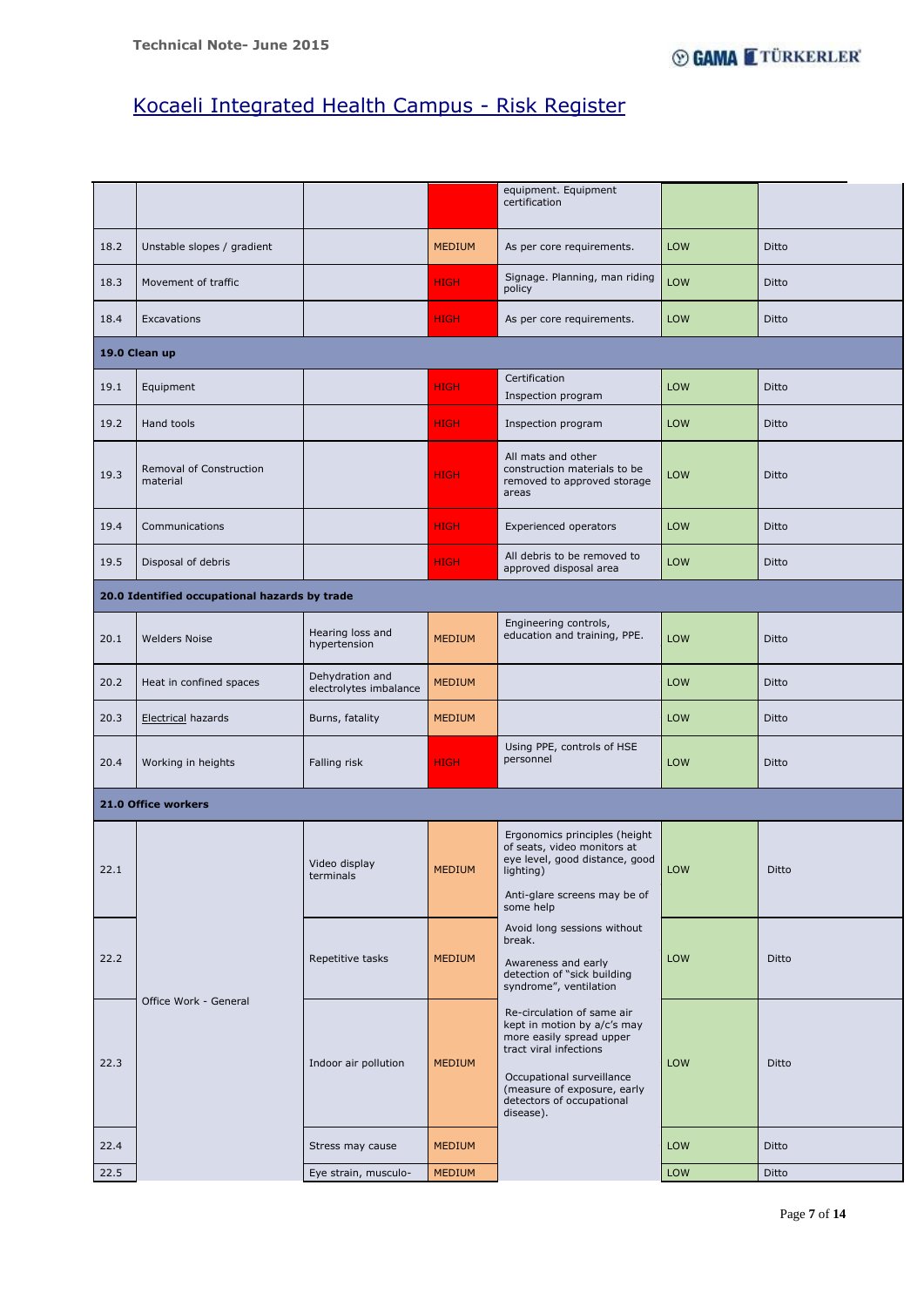Page **7** of **14**

|                                               |                                     |                                           |               | equipment. Equipment<br>certification                                                                                                                                                                                 |            |              |  |  |  |
|-----------------------------------------------|-------------------------------------|-------------------------------------------|---------------|-----------------------------------------------------------------------------------------------------------------------------------------------------------------------------------------------------------------------|------------|--------------|--|--|--|
| 18.2                                          | Unstable slopes / gradient          |                                           | <b>MEDIUM</b> | As per core requirements.                                                                                                                                                                                             | LOW        | Ditto        |  |  |  |
| 18.3                                          | Movement of traffic                 |                                           | <b>HIGH</b>   | Signage. Planning, man riding<br>policy                                                                                                                                                                               | <b>LOW</b> | Ditto        |  |  |  |
| 18.4                                          | Excavations                         |                                           | <b>HIGH</b>   | As per core requirements.                                                                                                                                                                                             | <b>LOW</b> | <b>Ditto</b> |  |  |  |
|                                               | 19.0 Clean up                       |                                           |               |                                                                                                                                                                                                                       |            |              |  |  |  |
| 19.1                                          | Equipment                           |                                           | <b>HIGH</b>   | Certification<br>Inspection program                                                                                                                                                                                   | LOW        | Ditto        |  |  |  |
| 19.2                                          | Hand tools                          |                                           | <b>HIGH</b>   | Inspection program                                                                                                                                                                                                    | LOW        | Ditto        |  |  |  |
| 19.3                                          | Removal of Construction<br>material |                                           | <b>HIGH</b>   | All mats and other<br>construction materials to be<br>removed to approved storage<br>areas                                                                                                                            | <b>LOW</b> | <b>Ditto</b> |  |  |  |
| 19.4                                          | Communications                      |                                           | <b>HIGH</b>   | Experienced operators                                                                                                                                                                                                 | LOW        | Ditto        |  |  |  |
| 19.5                                          | Disposal of debris                  |                                           | <b>HIGH</b>   | All debris to be removed to<br>approved disposal area                                                                                                                                                                 | <b>LOW</b> | Ditto        |  |  |  |
| 20.0 Identified occupational hazards by trade |                                     |                                           |               |                                                                                                                                                                                                                       |            |              |  |  |  |
| 20.1                                          | <b>Welders Noise</b>                | Hearing loss and<br>hypertension          | <b>MEDIUM</b> | Engineering controls,<br>education and training, PPE.                                                                                                                                                                 | LOW        | Ditto        |  |  |  |
| 20.2                                          | Heat in confined spaces             | Dehydration and<br>electrolytes imbalance | <b>MEDIUM</b> |                                                                                                                                                                                                                       | LOW        | Ditto        |  |  |  |
| 20.3                                          | Electrical hazards                  | Burns, fatality                           | <b>MEDIUM</b> |                                                                                                                                                                                                                       | LOW        | Ditto        |  |  |  |
| 20.4                                          | Working in heights                  | Falling risk                              | <b>HIGH</b>   | Using PPE, controls of HSE<br>personnel                                                                                                                                                                               | LOW        | Ditto        |  |  |  |
|                                               | 21.0 Office workers                 |                                           |               |                                                                                                                                                                                                                       |            |              |  |  |  |
| 22.1                                          |                                     | Video display<br>terminals                | <b>MEDIUM</b> | Ergonomics principles (height<br>of seats, video monitors at<br>eye level, good distance, good<br>lighting)<br>Anti-glare screens may be of<br>some help                                                              | LOW        | Ditto        |  |  |  |
| 22.2                                          |                                     | Repetitive tasks                          | <b>MEDIUM</b> | Avoid long sessions without<br>break.<br>Awareness and early<br>detection of "sick building<br>syndrome", ventilation                                                                                                 | LOW        | Ditto        |  |  |  |
| 22.3                                          | Office Work - General               | Indoor air pollution                      | <b>MEDIUM</b> | Re-circulation of same air<br>kept in motion by a/c's may<br>more easily spread upper<br>tract viral infections<br>Occupational surveillance<br>(measure of exposure, early<br>detectors of occupational<br>disease). | LOW        | Ditto        |  |  |  |
| 22.4                                          |                                     | Stress may cause                          | <b>MEDIUM</b> |                                                                                                                                                                                                                       | <b>LOW</b> | Ditto        |  |  |  |
| 22.5                                          |                                     | Eye strain, musculo-                      | <b>MEDIUM</b> |                                                                                                                                                                                                                       | LOW        | Ditto        |  |  |  |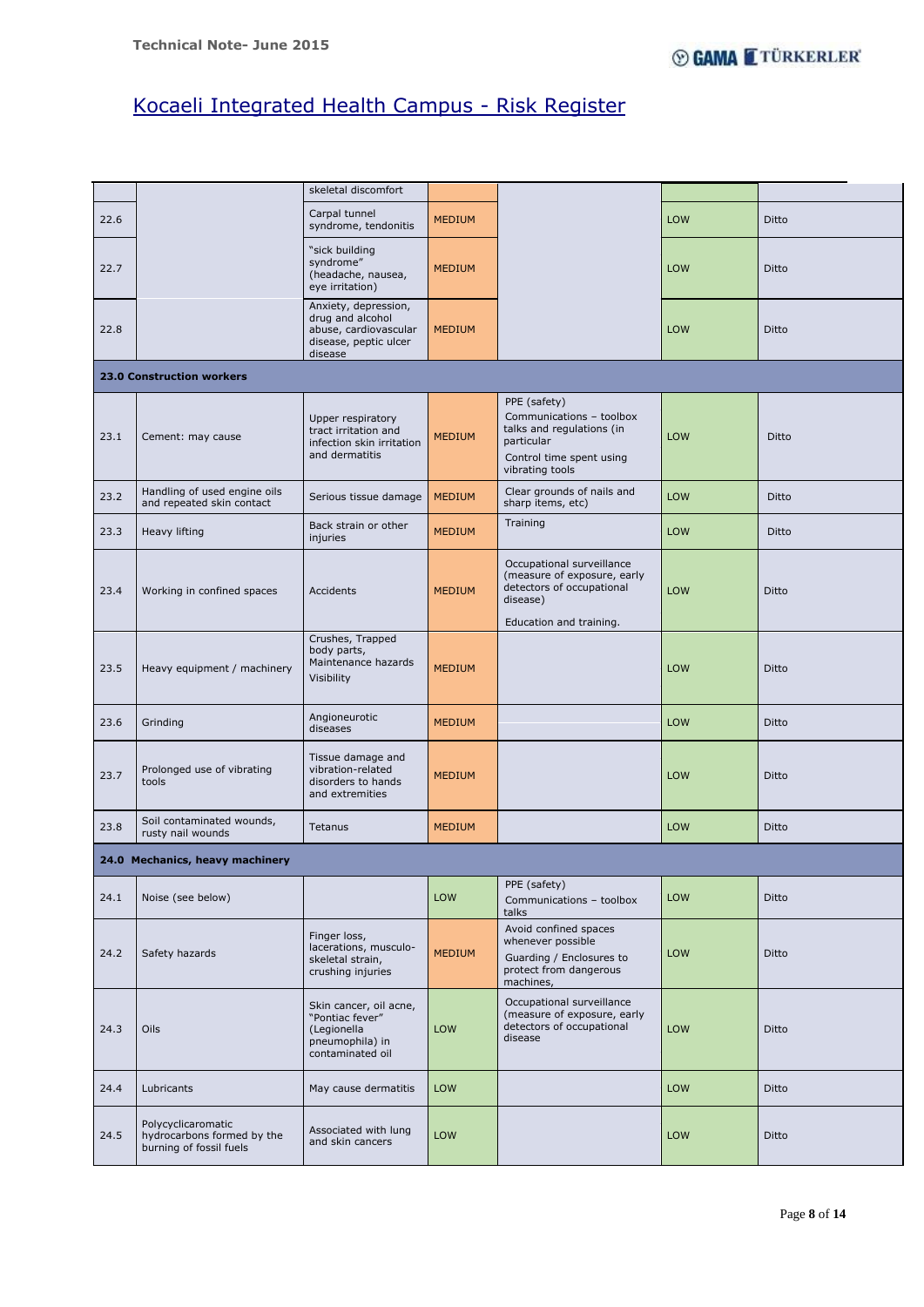Page **8** of **14**

|      |                                                                             | skeletal discomfort                                                                                   |               |                                                                                                                                    |            |       |  |  |  |  |  |
|------|-----------------------------------------------------------------------------|-------------------------------------------------------------------------------------------------------|---------------|------------------------------------------------------------------------------------------------------------------------------------|------------|-------|--|--|--|--|--|
| 22.6 |                                                                             | Carpal tunnel<br>syndrome, tendonitis                                                                 | <b>MEDIUM</b> |                                                                                                                                    | <b>LOW</b> | Ditto |  |  |  |  |  |
| 22.7 |                                                                             | "sick building<br>syndrome"<br>(headache, nausea,<br>eye irritation)                                  | <b>MEDIUM</b> |                                                                                                                                    | LOW        | Ditto |  |  |  |  |  |
| 22.8 |                                                                             | Anxiety, depression,<br>drug and alcohol<br>abuse, cardiovascular<br>disease, peptic ulcer<br>disease | <b>MEDIUM</b> |                                                                                                                                    | LOW        | Ditto |  |  |  |  |  |
|      | <b>23.0 Construction workers</b>                                            |                                                                                                       |               |                                                                                                                                    |            |       |  |  |  |  |  |
| 23.1 | Cement: may cause                                                           | Upper respiratory<br>tract irritation and<br>infection skin irritation<br>and dermatitis              | <b>MEDIUM</b> | PPE (safety)<br>Communications - toolbox<br>talks and regulations (in<br>particular<br>Control time spent using<br>vibrating tools | LOW        | Ditto |  |  |  |  |  |
| 23.2 | Handling of used engine oils<br>and repeated skin contact                   | Serious tissue damage                                                                                 | <b>MEDIUM</b> | Clear grounds of nails and<br>sharp items, etc)                                                                                    | LOW        | Ditto |  |  |  |  |  |
| 23.3 | <b>Heavy lifting</b>                                                        | Back strain or other<br>injuries                                                                      | <b>MEDIUM</b> | Training                                                                                                                           | LOW        | Ditto |  |  |  |  |  |
| 23.4 | Working in confined spaces                                                  | Accidents                                                                                             | <b>MEDIUM</b> | Occupational surveillance<br>(measure of exposure, early<br>detectors of occupational<br>disease)<br>Education and training.       | LOW        | Ditto |  |  |  |  |  |
| 23.5 | Heavy equipment / machinery                                                 | Crushes, Trapped<br>body parts,<br>Maintenance hazards<br>Visibility                                  | <b>MEDIUM</b> |                                                                                                                                    | LOW        | Ditto |  |  |  |  |  |
| 23.6 | Grinding                                                                    | Angioneurotic<br>diseases                                                                             | <b>MEDIUM</b> |                                                                                                                                    | LOW        | Ditto |  |  |  |  |  |
| 23.7 | Prolonged use of vibrating<br>tools                                         | Tissue damage and<br>vibration-related<br>disorders to hands<br>and extremities                       | <b>MEDIUM</b> |                                                                                                                                    | LOW        | Ditto |  |  |  |  |  |
| 23.8 | Soil contaminated wounds,<br>rusty nail wounds                              | Tetanus                                                                                               | <b>MEDIUM</b> |                                                                                                                                    | LOW        | Ditto |  |  |  |  |  |
|      | 24.0 Mechanics, heavy machinery                                             |                                                                                                       |               |                                                                                                                                    |            |       |  |  |  |  |  |
| 24.1 | Noise (see below)                                                           |                                                                                                       | LOW           | PPE (safety)<br>Communications - toolbox<br>talks                                                                                  | <b>LOW</b> | Ditto |  |  |  |  |  |
| 24.2 | Safety hazards                                                              | Finger loss,<br>lacerations, musculo-<br>skeletal strain,<br>crushing injuries                        | <b>MEDIUM</b> | Avoid confined spaces<br>whenever possible<br>Guarding / Enclosures to<br>protect from dangerous<br>machines,                      | LOW        | Ditto |  |  |  |  |  |
| 24.3 | Oils                                                                        | Skin cancer, oil acne,<br>"Pontiac fever"<br>(Legionella<br>pneumophila) in<br>contaminated oil       | LOW           | Occupational surveillance<br>(measure of exposure, early<br>detectors of occupational<br>disease                                   | LOW        | Ditto |  |  |  |  |  |
| 24.4 | Lubricants                                                                  | May cause dermatitis                                                                                  | LOW           |                                                                                                                                    | LOW        | Ditto |  |  |  |  |  |
| 24.5 | Polycyclicaromatic<br>hydrocarbons formed by the<br>burning of fossil fuels | Associated with lung<br>and skin cancers                                                              | LOW           |                                                                                                                                    | LOW        | Ditto |  |  |  |  |  |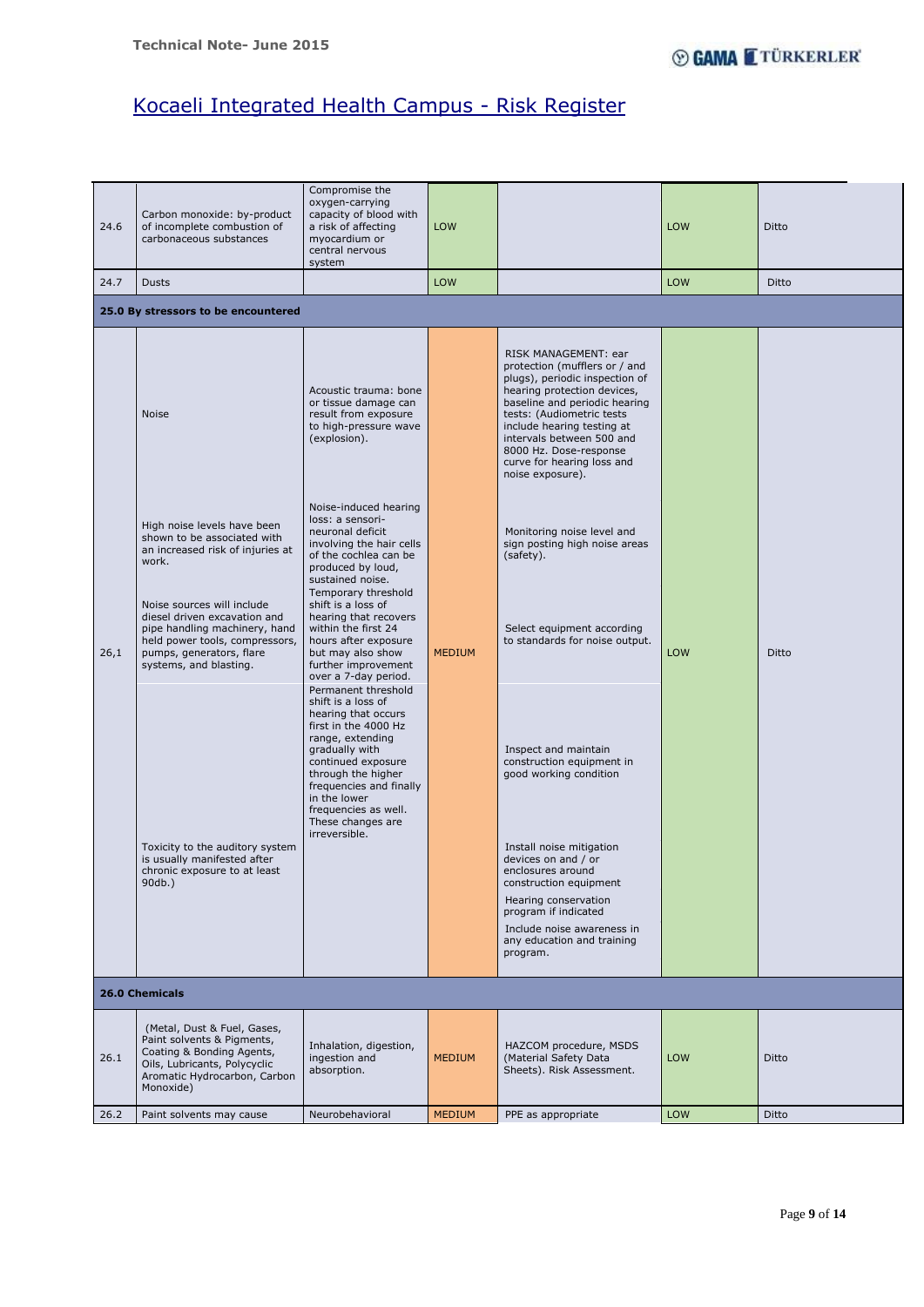Т.

# Kocaeli Integrated Health Campus - Risk Register

## Page **9** of **14**

| 24.6 | Carbon monoxide: by-product<br>of incomplete combustion of<br>carbonaceous substances                                                                                                                                                                                                                                                                                                                               | Compromise the<br>oxygen-carrying<br>capacity of blood with<br>a risk of affecting<br>myocardium or<br>central nervous<br>system                                                                                                                                                                                                                                                                                                                                                                                                                                                                                                                                                                                                                              | LOW           |                                                                                                                                                                                                                                                                                                                                                                                                                                                                                                                                                                                                                                                                                                                                                                                  | <b>LOW</b> | Ditto |  |  |  |  |
|------|---------------------------------------------------------------------------------------------------------------------------------------------------------------------------------------------------------------------------------------------------------------------------------------------------------------------------------------------------------------------------------------------------------------------|---------------------------------------------------------------------------------------------------------------------------------------------------------------------------------------------------------------------------------------------------------------------------------------------------------------------------------------------------------------------------------------------------------------------------------------------------------------------------------------------------------------------------------------------------------------------------------------------------------------------------------------------------------------------------------------------------------------------------------------------------------------|---------------|----------------------------------------------------------------------------------------------------------------------------------------------------------------------------------------------------------------------------------------------------------------------------------------------------------------------------------------------------------------------------------------------------------------------------------------------------------------------------------------------------------------------------------------------------------------------------------------------------------------------------------------------------------------------------------------------------------------------------------------------------------------------------------|------------|-------|--|--|--|--|
| 24.7 | <b>Dusts</b>                                                                                                                                                                                                                                                                                                                                                                                                        |                                                                                                                                                                                                                                                                                                                                                                                                                                                                                                                                                                                                                                                                                                                                                               | <b>LOW</b>    |                                                                                                                                                                                                                                                                                                                                                                                                                                                                                                                                                                                                                                                                                                                                                                                  | <b>LOW</b> | Ditto |  |  |  |  |
|      | 25.0 By stressors to be encountered                                                                                                                                                                                                                                                                                                                                                                                 |                                                                                                                                                                                                                                                                                                                                                                                                                                                                                                                                                                                                                                                                                                                                                               |               |                                                                                                                                                                                                                                                                                                                                                                                                                                                                                                                                                                                                                                                                                                                                                                                  |            |       |  |  |  |  |
| 26,1 | Noise<br>High noise levels have been<br>shown to be associated with<br>an increased risk of injuries at<br>work.<br>Noise sources will include<br>diesel driven excavation and<br>pipe handling machinery, hand<br>held power tools, compressors,<br>pumps, generators, flare<br>systems, and blasting.<br>Toxicity to the auditory system<br>is usually manifested after<br>chronic exposure to at least<br>90db.) | Acoustic trauma: bone<br>or tissue damage can<br>result from exposure<br>to high-pressure wave<br>(explosion).<br>Noise-induced hearing<br>loss: a sensori-<br>neuronal deficit<br>involving the hair cells<br>of the cochlea can be<br>produced by loud,<br>sustained noise.<br>Temporary threshold<br>shift is a loss of<br>hearing that recovers<br>within the first 24<br>hours after exposure<br>but may also show<br>further improvement<br>over a 7-day period.<br>Permanent threshold<br>shift is a loss of<br>hearing that occurs<br>first in the 4000 Hz<br>range, extending<br>gradually with<br>continued exposure<br>through the higher<br>frequencies and finally<br>in the lower<br>frequencies as well.<br>These changes are<br>irreversible. | <b>MEDIUM</b> | RISK MANAGEMENT: ear<br>protection (mufflers or / and<br>plugs), periodic inspection of<br>hearing protection devices,<br>baseline and periodic hearing<br>tests: (Audiometric tests<br>include hearing testing at<br>intervals between 500 and<br>8000 Hz. Dose-response<br>curve for hearing loss and<br>noise exposure).<br>Monitoring noise level and<br>sign posting high noise areas<br>(safety).<br>Select equipment according<br>to standards for noise output.<br>Inspect and maintain<br>construction equipment in<br>good working condition<br>Install noise mitigation<br>devices on and / or<br>enclosures around<br>construction equipment<br>Hearing conservation<br>program if indicated<br>Include noise awareness in<br>any education and training<br>program. | <b>LOW</b> | Ditto |  |  |  |  |

| <b>26.0 Chemicals</b> |                                                                                                                                                                     |                                                        |               |                                                                              |            |       |  |  |  |
|-----------------------|---------------------------------------------------------------------------------------------------------------------------------------------------------------------|--------------------------------------------------------|---------------|------------------------------------------------------------------------------|------------|-------|--|--|--|
| 26.1                  | (Metal, Dust & Fuel, Gases,<br>Paint solvents & Pigments,<br>Coating & Bonding Agents,<br>Oils, Lubricants, Polycyclic<br>Aromatic Hydrocarbon, Carbon<br>Monoxide) | Inhalation, digestion,<br>ingestion and<br>absorption. | <b>MEDIUM</b> | HAZCOM procedure, MSDS<br>(Material Safety Data<br>Sheets). Risk Assessment. | <b>LOW</b> | Ditto |  |  |  |
| 26.2                  | Paint solvents may cause                                                                                                                                            | Neurobehavioral                                        | <b>MEDIUM</b> | PPE as appropriate                                                           | <b>LOW</b> | Ditto |  |  |  |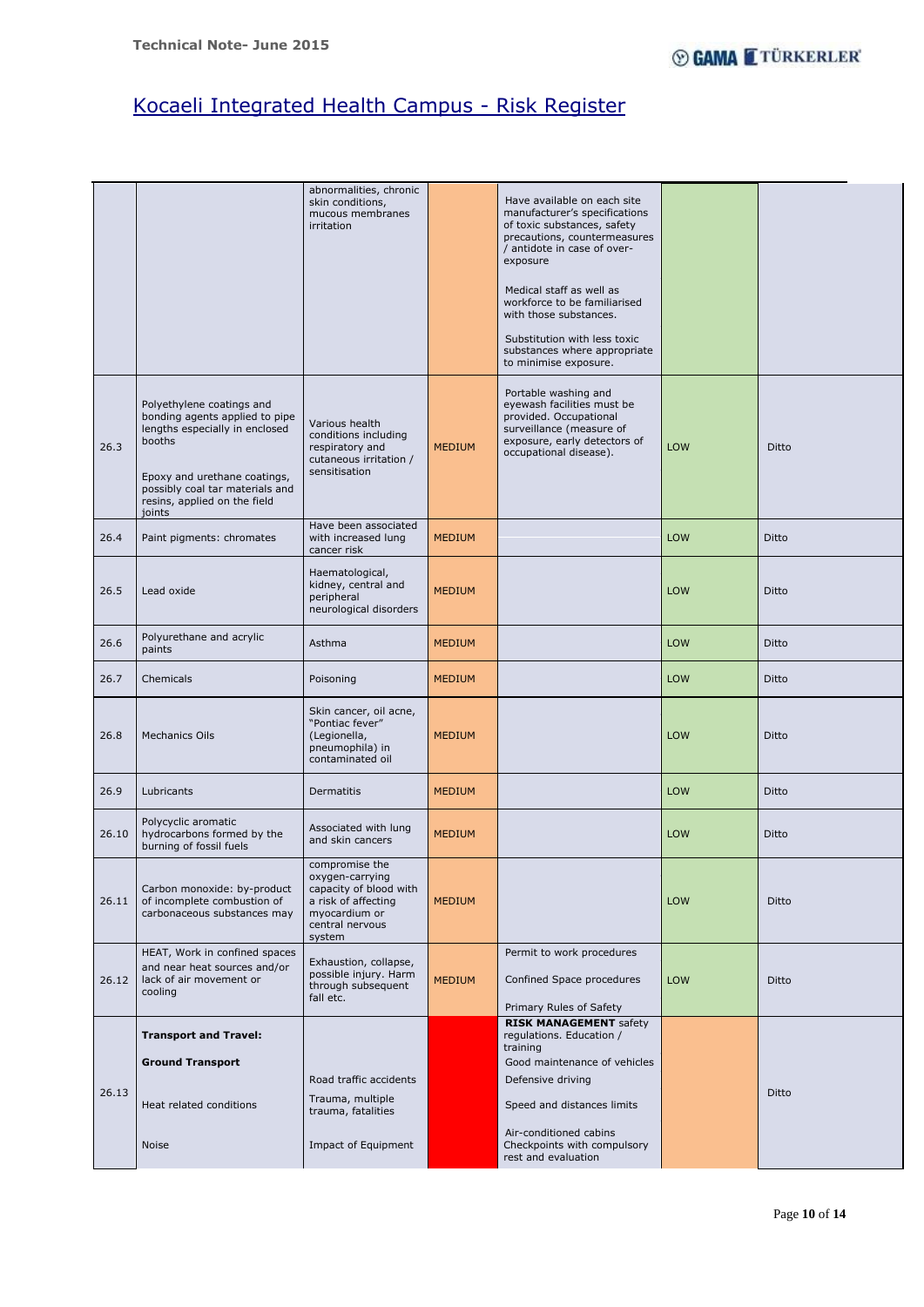Page **10** of **14**

|       |                                                                                                                                                                                                                      | abnormalities, chronic<br>skin conditions,<br>mucous membranes<br>irritation                                                     |               | Have available on each site<br>manufacturer's specifications<br>of toxic substances, safety<br>precautions, countermeasures<br>/ antidote in case of over-<br>exposure<br>Medical staff as well as<br>workforce to be familiarised<br>with those substances.<br>Substitution with less toxic<br>substances where appropriate<br>to minimise exposure. |            |       |
|-------|----------------------------------------------------------------------------------------------------------------------------------------------------------------------------------------------------------------------|----------------------------------------------------------------------------------------------------------------------------------|---------------|-------------------------------------------------------------------------------------------------------------------------------------------------------------------------------------------------------------------------------------------------------------------------------------------------------------------------------------------------------|------------|-------|
| 26.3  | Polyethylene coatings and<br>bonding agents applied to pipe<br>lengths especially in enclosed<br>booths<br>Epoxy and urethane coatings,<br>possibly coal tar materials and<br>resins, applied on the field<br>joints | Various health<br>conditions including<br>respiratory and<br>cutaneous irritation /<br>sensitisation                             | <b>MEDIUM</b> | Portable washing and<br>eyewash facilities must be<br>provided. Occupational<br>surveillance (measure of<br>exposure, early detectors of<br>occupational disease).                                                                                                                                                                                    | <b>LOW</b> | Ditto |
| 26.4  | Paint pigments: chromates                                                                                                                                                                                            | Have been associated<br>with increased lung<br>cancer risk                                                                       | <b>MEDIUM</b> |                                                                                                                                                                                                                                                                                                                                                       | <b>LOW</b> | Ditto |
| 26.5  | Lead oxide                                                                                                                                                                                                           | Haematological,<br>kidney, central and<br>peripheral<br>neurological disorders                                                   | <b>MEDIUM</b> |                                                                                                                                                                                                                                                                                                                                                       | <b>LOW</b> | Ditto |
| 26.6  | Polyurethane and acrylic<br>paints                                                                                                                                                                                   | Asthma                                                                                                                           | <b>MEDIUM</b> |                                                                                                                                                                                                                                                                                                                                                       | <b>LOW</b> | Ditto |
| 26.7  | Chemicals                                                                                                                                                                                                            | Poisoning                                                                                                                        | <b>MEDIUM</b> |                                                                                                                                                                                                                                                                                                                                                       | LOW        | Ditto |
| 26.8  | <b>Mechanics Oils</b>                                                                                                                                                                                                | Skin cancer, oil acne,<br>"Pontiac fever"<br>(Legionella,<br>pneumophila) in<br>contaminated oil                                 | <b>MEDIUM</b> |                                                                                                                                                                                                                                                                                                                                                       | <b>LOW</b> | Ditto |
| 26.9  | Lubricants                                                                                                                                                                                                           | Dermatitis                                                                                                                       | <b>MEDIUM</b> |                                                                                                                                                                                                                                                                                                                                                       | LOW        | Ditto |
| 26.10 | Polycyclic aromatic<br>hydrocarbons formed by the<br>burning of fossil fuels                                                                                                                                         | Associated with lung<br>and skin cancers                                                                                         | <b>MEDIUM</b> |                                                                                                                                                                                                                                                                                                                                                       | <b>LOW</b> | Ditto |
| 26.11 | Carbon monoxide: by-product<br>of incomplete combustion of<br>carbonaceous substances may                                                                                                                            | compromise the<br>oxygen-carrying<br>capacity of blood with<br>a risk of affecting<br>myocardium or<br>central nervous<br>system | <b>MEDIUM</b> |                                                                                                                                                                                                                                                                                                                                                       | <b>LOW</b> | Ditto |
| 26.12 | HEAT, Work in confined spaces<br>and near heat sources and/or<br>lack of air movement or<br>cooling                                                                                                                  | Exhaustion, collapse,<br>possible injury. Harm<br>through subsequent<br>fall etc.                                                | <b>MEDIUM</b> | Permit to work procedures<br>Confined Space procedures<br>Primary Rules of Safety                                                                                                                                                                                                                                                                     | LOW        | Ditto |
|       | <b>Transport and Travel:</b>                                                                                                                                                                                         |                                                                                                                                  |               | <b>RISK MANAGEMENT</b> safety<br>regulations. Education /                                                                                                                                                                                                                                                                                             |            |       |
|       | <b>Ground Transport</b>                                                                                                                                                                                              |                                                                                                                                  |               | training<br>Good maintenance of vehicles                                                                                                                                                                                                                                                                                                              |            |       |
| 26.13 |                                                                                                                                                                                                                      | Road traffic accidents                                                                                                           |               | Defensive driving                                                                                                                                                                                                                                                                                                                                     |            | Ditto |
|       | Heat related conditions                                                                                                                                                                                              | Trauma, multiple<br>trauma, fatalities                                                                                           |               | Speed and distances limits                                                                                                                                                                                                                                                                                                                            |            |       |
|       | <b>Noise</b>                                                                                                                                                                                                         | Impact of Equipment                                                                                                              |               | Air-conditioned cabins<br>Checkpoints with compulsory<br>rest and evaluation                                                                                                                                                                                                                                                                          |            |       |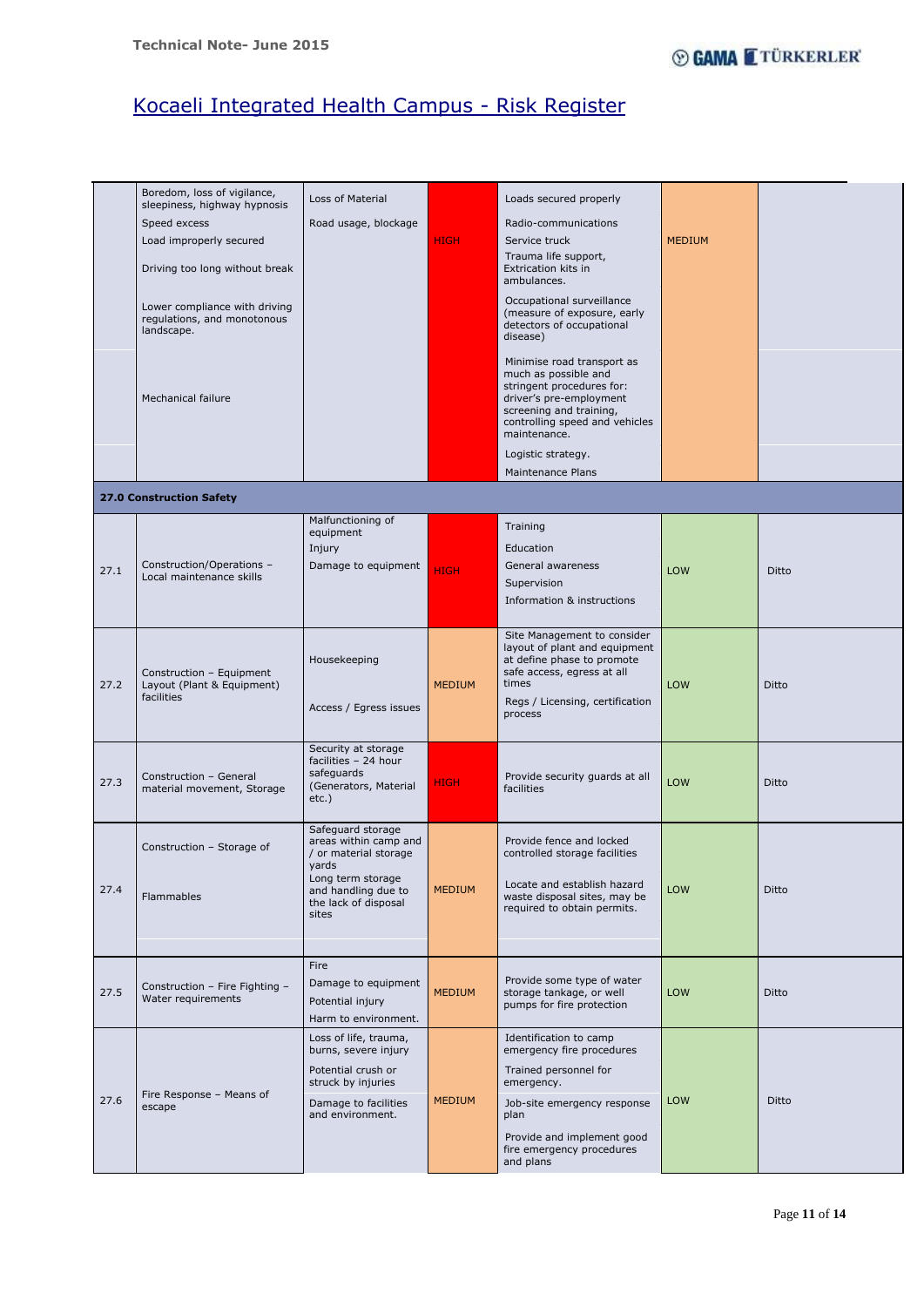Page **11** of **14**

|      | Boredom, loss of vigilance,<br>sleepiness, highway hypnosis | Loss of Material                               |               | Loads secured properly                                      |               |              |
|------|-------------------------------------------------------------|------------------------------------------------|---------------|-------------------------------------------------------------|---------------|--------------|
|      | Speed excess                                                | Road usage, blockage                           |               | Radio-communications                                        |               |              |
|      | Load improperly secured                                     |                                                | <b>HIGH</b>   | Service truck                                               | <b>MEDIUM</b> |              |
|      |                                                             |                                                |               | Trauma life support,                                        |               |              |
|      | Driving too long without break                              |                                                |               | Extrication kits in<br>ambulances.                          |               |              |
|      | Lower compliance with driving                               |                                                |               | Occupational surveillance<br>(measure of exposure, early    |               |              |
|      | regulations, and monotonous<br>landscape.                   |                                                |               | detectors of occupational<br>disease)                       |               |              |
|      |                                                             |                                                |               |                                                             |               |              |
|      |                                                             |                                                |               | Minimise road transport as<br>much as possible and          |               |              |
|      | <b>Mechanical failure</b>                                   |                                                |               | stringent procedures for:<br>driver's pre-employment        |               |              |
|      |                                                             |                                                |               | screening and training,<br>controlling speed and vehicles   |               |              |
|      |                                                             |                                                |               | maintenance.                                                |               |              |
|      |                                                             |                                                |               | Logistic strategy.                                          |               |              |
|      |                                                             |                                                |               | <b>Maintenance Plans</b>                                    |               |              |
|      | <b>27.0 Construction Safety</b>                             |                                                |               |                                                             |               |              |
|      |                                                             | Malfunctioning of<br>equipment                 |               | Training                                                    |               |              |
|      |                                                             | Injury                                         |               | Education                                                   |               |              |
| 27.1 | Construction/Operations -                                   | Damage to equipment                            | <b>HIGH</b>   | General awareness                                           | LOW           | Ditto        |
|      | Local maintenance skills                                    |                                                |               | Supervision                                                 |               |              |
|      |                                                             |                                                |               | Information & instructions                                  |               |              |
|      |                                                             |                                                |               | Site Management to consider                                 |               |              |
|      |                                                             | Housekeeping                                   |               | layout of plant and equipment<br>at define phase to promote |               |              |
|      | Construction - Equipment                                    |                                                |               | safe access, egress at all                                  |               |              |
| 27.2 | Layout (Plant & Equipment)<br>facilities                    |                                                | <b>MEDIUM</b> | times<br>Regs / Licensing, certification                    | <b>LOW</b>    | Ditto        |
|      |                                                             | Access / Egress issues                         |               | process                                                     |               |              |
|      |                                                             |                                                |               |                                                             |               |              |
|      |                                                             | Security at storage<br>facilities - 24 hour    |               |                                                             |               |              |
| 27.3 | Construction - General<br>material movement, Storage        | safeguards<br>(Generators, Material            | <b>HIGH</b>   | Provide security guards at all<br>facilities                | LOW           | <b>Ditto</b> |
|      |                                                             | $etc.$ )                                       |               |                                                             |               |              |
|      |                                                             | Safeguard storage                              |               |                                                             |               |              |
|      | Construction - Storage of                                   | areas within camp and<br>/ or material storage |               | Provide fence and locked<br>controlled storage facilities   |               |              |
|      |                                                             | yards                                          |               |                                                             |               |              |
| 27.4 | Flammables                                                  | Long term storage<br>and handling due to       | <b>MEDIUM</b> | Locate and establish hazard<br>waste disposal sites, may be | LOW           | Ditto        |
|      |                                                             | the lack of disposal<br>sites                  |               | required to obtain permits.                                 |               |              |
|      |                                                             |                                                |               |                                                             |               |              |
|      |                                                             | Fire                                           |               |                                                             |               |              |
|      | Construction - Fire Fighting -                              | Damage to equipment                            |               | Provide some type of water                                  |               |              |
| 27.5 | Water requirements                                          | Potential injury                               | <b>MEDIUM</b> | storage tankage, or well<br>pumps for fire protection       | LOW           | <b>Ditto</b> |
|      |                                                             | Harm to environment.                           |               |                                                             |               |              |
|      |                                                             | Loss of life, trauma,<br>burns, severe injury  |               | Identification to camp<br>emergency fire procedures         |               |              |
|      |                                                             | Potential crush or                             |               | Trained personnel for                                       |               |              |
| 27.6 | Fire Response - Means of                                    | struck by injuries<br>Damage to facilities     | <b>MEDIUM</b> | emergency.<br>Job-site emergency response                   | LOW           | Ditto        |
|      | escape                                                      | and environment.                               |               | plan                                                        |               |              |
|      |                                                             |                                                |               | Provide and implement good<br>fire emergency procedures     |               |              |
|      |                                                             |                                                |               | and plans                                                   |               |              |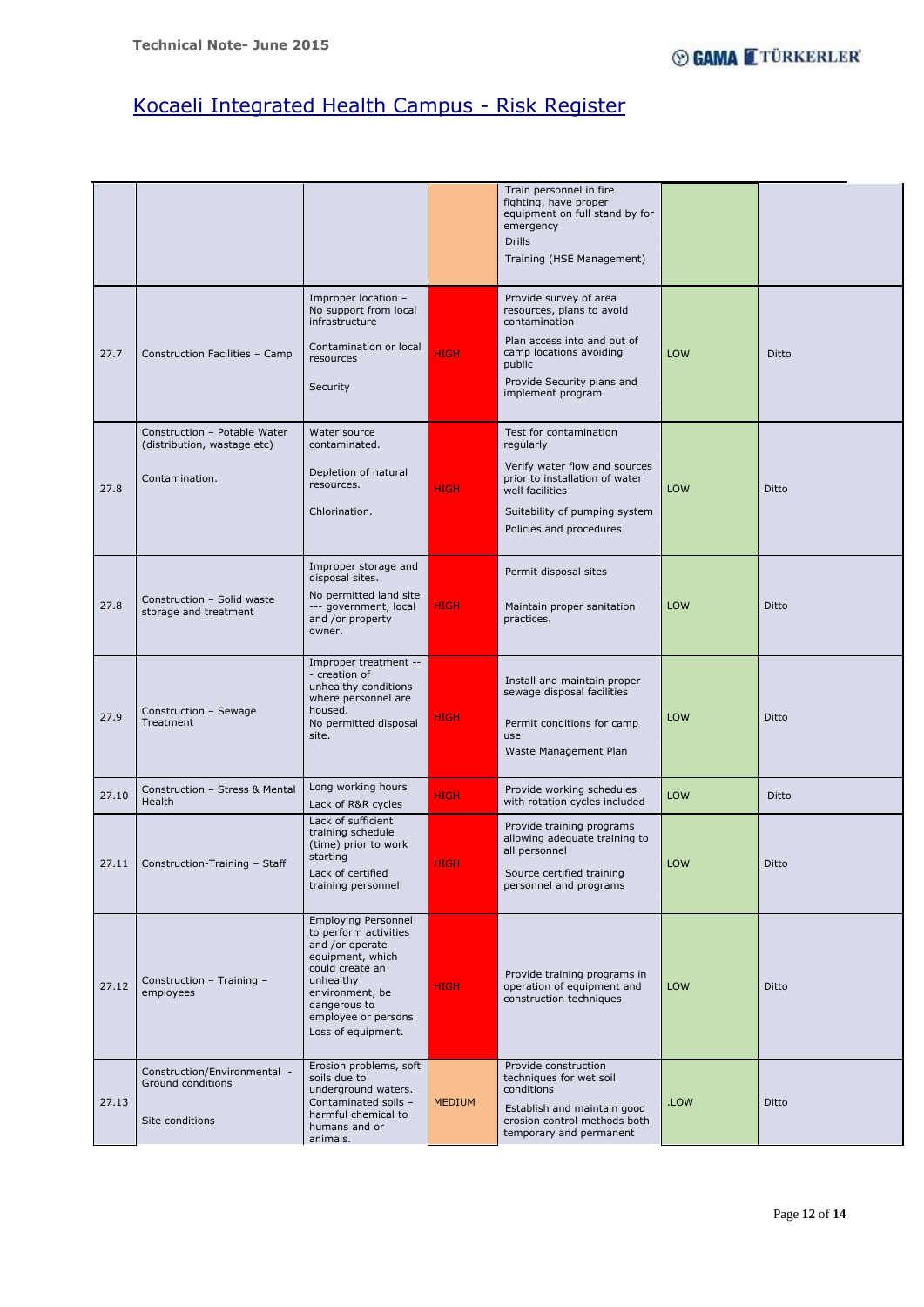Page **12** of **14**

|       |                                                                               |                                                                                                                                                                                                            |               | Train personnel in fire<br>fighting, have proper<br>equipment on full stand by for<br>emergency<br><b>Drills</b><br>Training (HSE Management)                                               |            |       |
|-------|-------------------------------------------------------------------------------|------------------------------------------------------------------------------------------------------------------------------------------------------------------------------------------------------------|---------------|---------------------------------------------------------------------------------------------------------------------------------------------------------------------------------------------|------------|-------|
| 27.7  | Construction Facilities - Camp                                                | Improper location -<br>No support from local<br>infrastructure<br>Contamination or local<br>resources<br>Security                                                                                          | <b>HIGH</b>   | Provide survey of area<br>resources, plans to avoid<br>contamination<br>Plan access into and out of<br>camp locations avoiding<br>public<br>Provide Security plans and<br>implement program | LOW        | Ditto |
| 27.8  | Construction - Potable Water<br>(distribution, wastage etc)<br>Contamination. | Water source<br>contaminated.<br>Depletion of natural<br>resources.<br>Chlorination.                                                                                                                       | <b>HIGH</b>   | Test for contamination<br>regularly<br>Verify water flow and sources<br>prior to installation of water<br>well facilities<br>Suitability of pumping system<br>Policies and procedures       | LOW        | Ditto |
| 27.8  | Construction - Solid waste<br>storage and treatment                           | Improper storage and<br>disposal sites.<br>No permitted land site<br>--- government, local<br>and /or property<br>owner.                                                                                   | <b>HIGH</b>   | Permit disposal sites<br>Maintain proper sanitation<br>practices.                                                                                                                           | LOW        | Ditto |
| 27.9  | Construction - Sewage<br>Treatment                                            | Improper treatment --<br>- creation of<br>unhealthy conditions<br>where personnel are<br>housed.<br>No permitted disposal<br>site.                                                                         | <b>HIGH</b>   | Install and maintain proper<br>sewage disposal facilities<br>Permit conditions for camp<br>use<br>Waste Management Plan                                                                     | LOW        | Ditto |
| 27.10 | Construction - Stress & Mental<br>Health                                      | Long working hours<br>Lack of R&R cycles                                                                                                                                                                   | <b>HIGH</b>   | Provide working schedules<br>with rotation cycles included                                                                                                                                  | LOW        | Ditto |
| 27.11 | Construction-Training - Staff                                                 | Lack of sufficient<br>training schedule<br>(time) prior to work<br>starting<br>Lack of certified<br>training personnel                                                                                     | <b>HIGH</b>   | Provide training programs<br>allowing adequate training to<br>all personnel<br>Source certified training<br>personnel and programs                                                          | LOW        | Ditto |
| 27.12 | Construction - Training -<br>employees                                        | <b>Employing Personnel</b><br>to perform activities<br>and /or operate<br>equipment, which<br>could create an<br>unhealthy<br>environment, be<br>dangerous to<br>employee or persons<br>Loss of equipment. | <b>HIGH</b>   | Provide training programs in<br>operation of equipment and<br>construction techniques                                                                                                       | <b>LOW</b> | Ditto |
| 27.13 | Construction/Environmental -<br>Ground conditions<br>Site conditions          | Erosion problems, soft<br>soils due to<br>underground waters.<br>Contaminated soils -<br>harmful chemical to<br>humans and or<br>animals.                                                                  | <b>MEDIUM</b> | Provide construction<br>techniques for wet soil<br>conditions<br>Establish and maintain good<br>erosion control methods both<br>temporary and permanent                                     | .LOW       | Ditto |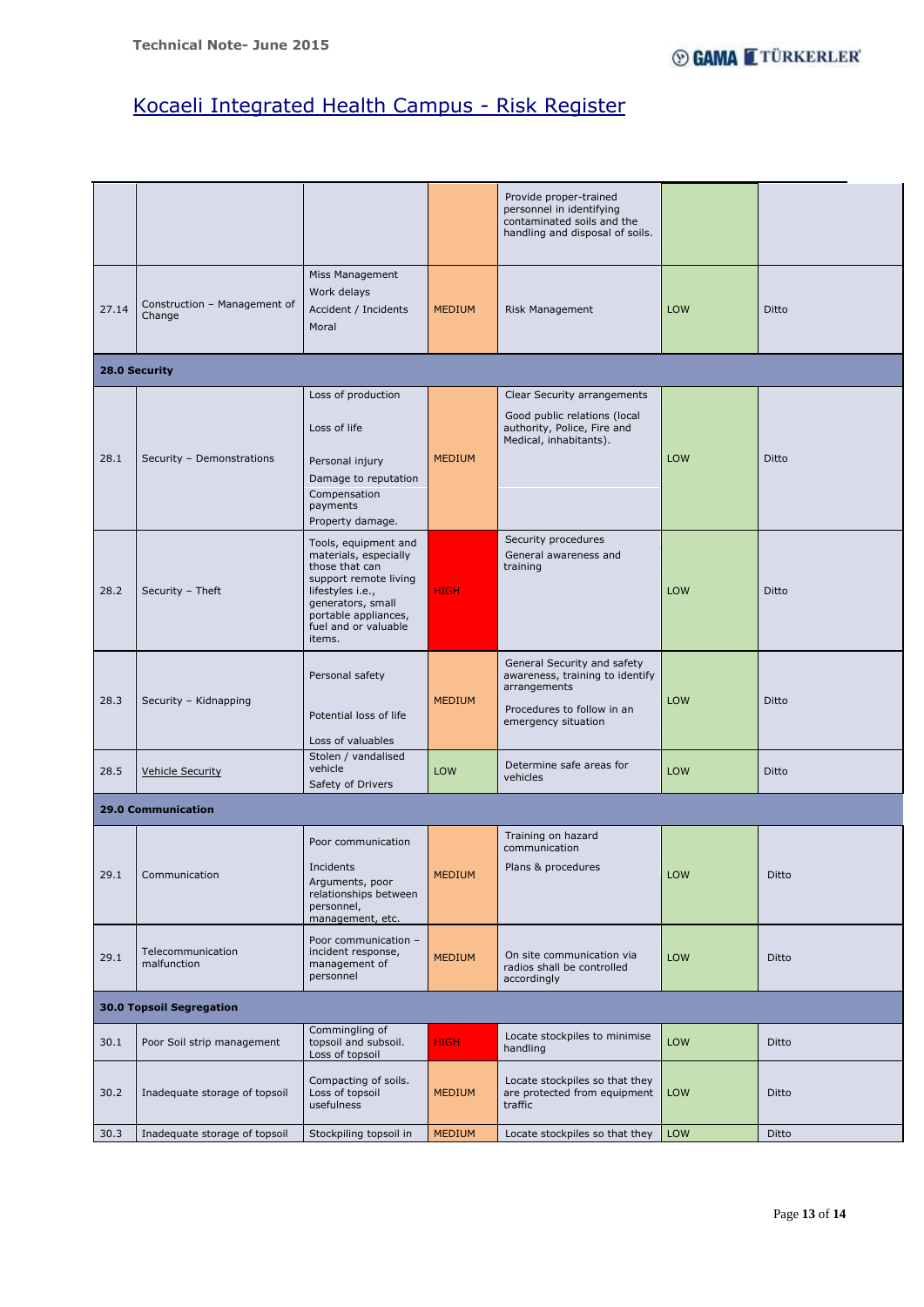Page **13** of **14**

|                           |                                        |                                                                                                                                                                                             |               | Provide proper-trained<br>personnel in identifying<br>contaminated soils and the<br>handling and disposal of soils.                 |            |       |  |
|---------------------------|----------------------------------------|---------------------------------------------------------------------------------------------------------------------------------------------------------------------------------------------|---------------|-------------------------------------------------------------------------------------------------------------------------------------|------------|-------|--|
| 27.14                     | Construction - Management of<br>Change | Miss Management<br>Work delays<br>Accident / Incidents<br>Moral                                                                                                                             | <b>MEDIUM</b> | Risk Management                                                                                                                     | <b>LOW</b> | Ditto |  |
|                           | 28.0 Security                          |                                                                                                                                                                                             |               |                                                                                                                                     |            |       |  |
| 28.1                      | Security - Demonstrations              | Loss of production<br>Loss of life<br>Personal injury<br>Damage to reputation<br>Compensation<br>payments<br>Property damage.                                                               | <b>MEDIUM</b> | Clear Security arrangements<br>Good public relations (local<br>authority, Police, Fire and<br>Medical, inhabitants).                | LOW        | Ditto |  |
| 28.2                      | Security - Theft                       | Tools, equipment and<br>materials, especially<br>those that can<br>support remote living<br>lifestyles i.e.,<br>generators, small<br>portable appliances,<br>fuel and or valuable<br>items. | <b>HIGH</b>   | Security procedures<br>General awareness and<br>training                                                                            | LOW        | Ditto |  |
| 28.3                      | Security - Kidnapping                  | Personal safety<br>Potential loss of life<br>Loss of valuables                                                                                                                              | <b>MEDIUM</b> | General Security and safety<br>awareness, training to identify<br>arrangements<br>Procedures to follow in an<br>emergency situation | LOW        | Ditto |  |
| 28.5                      | <b>Vehicle Security</b>                | Stolen / vandalised<br>vehicle<br>Safety of Drivers                                                                                                                                         | LOW           | Determine safe areas for<br>vehicles                                                                                                | LOW        | Ditto |  |
| <b>29.0 Communication</b> |                                        |                                                                                                                                                                                             |               |                                                                                                                                     |            |       |  |
| 29.1                      | Communication                          | Poor communication<br>Incidents<br>Arguments, poor<br>relationships between<br>personnel,<br>management, etc.<br>Poor communication -                                                       | <b>MEDIUM</b> | Training on hazard<br>communication<br>Plans & procedures                                                                           | LOW        | Ditto |  |
| 29.1                      | Telecommunication<br>malfunction       | incident response,<br>management of<br>personnel                                                                                                                                            | <b>MEDIUM</b> | On site communication via<br>radios shall be controlled<br>accordingly                                                              | LOW        | Ditto |  |

|      |                                 | personnel                                                 |               | accordingly                                                               |            |              |  |  |  |  |
|------|---------------------------------|-----------------------------------------------------------|---------------|---------------------------------------------------------------------------|------------|--------------|--|--|--|--|
|      | <b>30.0 Topsoil Segregation</b> |                                                           |               |                                                                           |            |              |  |  |  |  |
| 30.1 | Poor Soil strip management      | Commingling of<br>topsoil and subsoil.<br>Loss of topsoil | <b>HIGH</b>   | Locate stockpiles to minimise<br>handling                                 | <b>LOW</b> | <b>Ditto</b> |  |  |  |  |
| 30.2 | Inadequate storage of topsoil   | Compacting of soils.<br>Loss of topsoil<br>usefulness     | <b>MEDIUM</b> | Locate stockpiles so that they<br>are protected from equipment<br>traffic | <b>LOW</b> | <b>Ditto</b> |  |  |  |  |
| 30.3 | Inadequate storage of topsoil   | Stockpiling topsoil in                                    | <b>MEDIUM</b> | Locate stockpiles so that they                                            | <b>LOW</b> | <b>Ditto</b> |  |  |  |  |